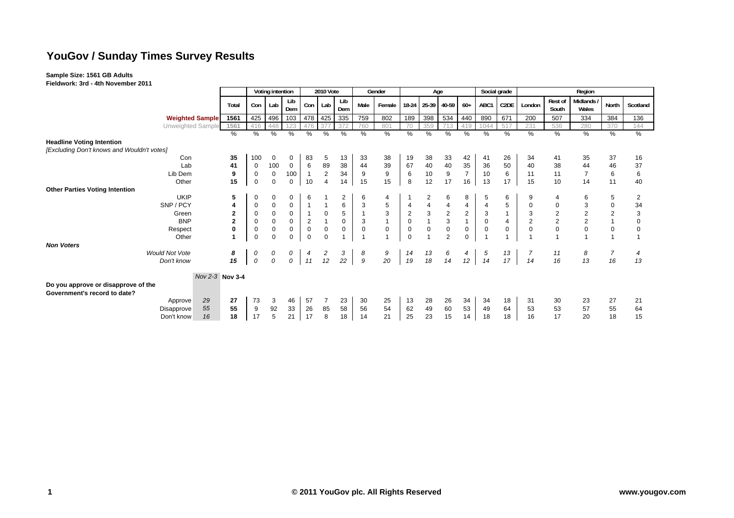# **YouGov / Sunday Times Survey Results**

**Sample Size: 1561 GB Adults Fieldwork: 3rd - 4th November 2011**

| Rest of<br>Midlands /<br>Lib<br>Lib<br>Con <sub>1</sub><br>C2DE<br>North<br>Male<br>18-24 25-39 40-59<br>Lab<br>$60+$<br>ABC1<br>Scotland<br>Lab<br>Female<br>London<br>Total<br>Con<br>Dem<br>Dem<br>South<br>Wales<br>425<br>478<br>425<br>335<br>759<br>189<br>398<br>534<br>890<br>671<br>384<br>136<br>1561<br>496<br>802<br>440<br>200<br>507<br>334<br><b>Weighted Sample</b><br>103<br><b>Unweighted Sample</b><br>1561<br>760<br>359<br>231<br>280<br>448<br>123<br>476<br>37<br>801<br>70<br>1044<br>517<br>536<br>370<br>144<br>416<br>37<br>419<br>%<br>%<br>%<br>$\frac{9}{6}$<br>$\frac{9}{6}$<br>%<br>$\overline{\%}$<br>%<br>$\sqrt{2}$<br>$\frac{0}{0}$<br>$\frac{0}{0}$<br>%<br>$\frac{1}{6}$<br>$\sqrt[6]{\frac{1}{2}}$<br>$\overline{\%}$<br>%<br>$\%$<br>$\%$<br>$\%$<br>$\frac{0}{0}$<br><b>Headline Voting Intention</b><br>[Excluding Don't knows and Wouldn't votes]<br>35<br>Con<br>100<br>$\mathbf 0$<br>0<br>83<br>13<br>33<br>38<br>19<br>38<br>33<br>26<br>35<br>37<br>42<br>41<br>34<br>16<br>5<br>41<br>38<br>39<br>40<br>40<br>100<br>$\mathbf 0$<br>6<br>89<br>67<br>35<br>36<br>50<br>41<br>44<br>Lab<br>40<br>44<br>46<br>37<br>0<br>38<br>$\overline{c}$<br>9<br>$10$<br>$\boldsymbol{9}$<br>10<br>100<br>$\boldsymbol{9}$<br>$\,6\,$<br>11<br>$\pmb{0}$<br>34<br>$\overline{7}$<br>6<br>$\overline{7}$<br>$\overline{1}$<br>6<br>9<br>6<br>Lib Dem<br>0<br>11<br>12<br>15<br>15<br>15<br>17<br>14<br>$\mathbf 0$<br>$\mathbf 0$<br>10<br>$\overline{4}$<br>13<br>11<br>$\mathsf 0$<br>14<br>8<br>16<br>17<br>10<br>15<br>40<br>Other<br><b>UKIP</b><br>5<br>$\mathbf 0$<br>0<br>6<br>$\overline{c}$<br>$\overline{4}$<br>$\overline{c}$<br>8<br>5<br>6<br>5<br>0<br>6<br>6<br>6<br>2<br>$\mathsf 3$<br>6<br>5<br>SNP / PCY<br>$\mathbf 0$<br>3<br>$\overline{4}$<br>5<br>0<br>$\mathbf 0$<br>$\overline{1}$<br>4<br>$\mathbf 0$<br>34<br>4<br>4<br>4<br>$\mathsf 3$<br>$\sqrt{2}$<br>3<br>$\mathbf 2$<br>$\boldsymbol{0}$<br>5<br>$\overline{2}$<br>3<br>$\overline{c}$<br>$\sqrt{2}$<br>$\mathbf 0$<br>$\mathbf 0$<br>$\overline{2}$<br>3<br>Green<br>0<br>3<br>2<br>$\overline{1}$<br>$\overline{c}$<br>$\mathsf 3$<br>$\overline{c}$<br>$\mathsf 0$<br>$\mathsf{O}\xspace$<br>$\mathbf{1}$<br>$\overline{2}$<br>$\boldsymbol{0}$<br>$\mathbf{1}$<br>$\mathbf{1}$<br>$\mathbf{2}$<br>$\overline{2}$<br>$\mathbf 0$<br>$\mathbf 0$<br><b>BNP</b><br>3<br>$\overline{4}$<br>0<br>$\mathbf{1}$<br>0<br>$\mathbf 0$<br>$\mathbf 0$<br>$\pmb{0}$<br>$\mathsf 0$<br>$\mathbf 0$<br>$\pmb{0}$<br>0<br>$\mathbf 0$<br>$\pmb{0}$<br>$\mathbf 0$<br>$\boldsymbol{0}$<br>$\mathbf 0$<br>0<br>$\mathsf 0$<br>$\mathbf 0$<br>$\mathbf 0$<br>$\mathbf 0$<br>$\mathbf 0$<br>0<br>Respect<br>0<br>$\Omega$<br>$\overline{2}$<br>$\mathbf 0$<br>$\mathbf 0$<br>$\Omega$<br>$\mathbf 0$<br>$\Omega$<br>$\overline{1}$<br>Other<br>$\Omega$<br><b>Would Not Vote</b><br>0<br>3<br>9<br>13<br>18<br>$\overline{7}$<br>8<br>0<br>2<br>8<br>14<br>$\begin{array}{c} 6 \\ 14 \end{array}$<br>$\overline{4}$<br>5<br>13<br>8<br>0<br>11<br>4<br>4<br>$\cal O$<br>$\mathfrak g$<br>12<br>$\it{O}$<br>22<br>20<br>0<br>11<br>14<br>15<br>19<br>12<br>16<br>13<br>17<br>14<br>16<br>13<br>Don't know<br>Nov 2-3 Nov 3-4<br>Do you approve or disapprove of the<br>Government's record to date?<br>29<br>27<br>46<br>27<br>73<br>57<br>23<br>30<br>25<br>13<br>28<br>26<br>34<br>18<br>23<br>3<br>34<br>31<br>30<br>21<br>Approve |                                       |    |   | Voting intention |    |    | 2010 Vote |    |    | Gender |    | Age |    |    |    | Social grade<br>Region |    |    |    |    |  |  |  |
|-----------------------------------------------------------------------------------------------------------------------------------------------------------------------------------------------------------------------------------------------------------------------------------------------------------------------------------------------------------------------------------------------------------------------------------------------------------------------------------------------------------------------------------------------------------------------------------------------------------------------------------------------------------------------------------------------------------------------------------------------------------------------------------------------------------------------------------------------------------------------------------------------------------------------------------------------------------------------------------------------------------------------------------------------------------------------------------------------------------------------------------------------------------------------------------------------------------------------------------------------------------------------------------------------------------------------------------------------------------------------------------------------------------------------------------------------------------------------------------------------------------------------------------------------------------------------------------------------------------------------------------------------------------------------------------------------------------------------------------------------------------------------------------------------------------------------------------------------------------------------------------------------------------------------------------------------------------------------------------------------------------------------------------------------------------------------------------------------------------------------------------------------------------------------------------------------------------------------------------------------------------------------------------------------------------------------------------------------------------------------------------------------------------------------------------------------------------------------------------------------------------------------------------------------------------------------------------------------------------------------------------------------------------------------------------------------------------------------------------------------------------------------------------------------------------------------------------------------------------------------------------------------------------------------------------------------------------------------------------------------------------------------------------------------------------------------------------------------------------------------------------------------------------------------------------------------------------------------------------------------------------------------------------------------------------------------------------------------------------------------------------------------------------------------------------------------|---------------------------------------|----|---|------------------|----|----|-----------|----|----|--------|----|-----|----|----|----|------------------------|----|----|----|----|--|--|--|
|                                                                                                                                                                                                                                                                                                                                                                                                                                                                                                                                                                                                                                                                                                                                                                                                                                                                                                                                                                                                                                                                                                                                                                                                                                                                                                                                                                                                                                                                                                                                                                                                                                                                                                                                                                                                                                                                                                                                                                                                                                                                                                                                                                                                                                                                                                                                                                                                                                                                                                                                                                                                                                                                                                                                                                                                                                                                                                                                                                                                                                                                                                                                                                                                                                                                                                                                                                                                                                               |                                       |    |   |                  |    |    |           |    |    |        |    |     |    |    |    |                        |    |    |    |    |  |  |  |
|                                                                                                                                                                                                                                                                                                                                                                                                                                                                                                                                                                                                                                                                                                                                                                                                                                                                                                                                                                                                                                                                                                                                                                                                                                                                                                                                                                                                                                                                                                                                                                                                                                                                                                                                                                                                                                                                                                                                                                                                                                                                                                                                                                                                                                                                                                                                                                                                                                                                                                                                                                                                                                                                                                                                                                                                                                                                                                                                                                                                                                                                                                                                                                                                                                                                                                                                                                                                                                               |                                       |    |   |                  |    |    |           |    |    |        |    |     |    |    |    |                        |    |    |    |    |  |  |  |
|                                                                                                                                                                                                                                                                                                                                                                                                                                                                                                                                                                                                                                                                                                                                                                                                                                                                                                                                                                                                                                                                                                                                                                                                                                                                                                                                                                                                                                                                                                                                                                                                                                                                                                                                                                                                                                                                                                                                                                                                                                                                                                                                                                                                                                                                                                                                                                                                                                                                                                                                                                                                                                                                                                                                                                                                                                                                                                                                                                                                                                                                                                                                                                                                                                                                                                                                                                                                                                               |                                       |    |   |                  |    |    |           |    |    |        |    |     |    |    |    |                        |    |    |    |    |  |  |  |
|                                                                                                                                                                                                                                                                                                                                                                                                                                                                                                                                                                                                                                                                                                                                                                                                                                                                                                                                                                                                                                                                                                                                                                                                                                                                                                                                                                                                                                                                                                                                                                                                                                                                                                                                                                                                                                                                                                                                                                                                                                                                                                                                                                                                                                                                                                                                                                                                                                                                                                                                                                                                                                                                                                                                                                                                                                                                                                                                                                                                                                                                                                                                                                                                                                                                                                                                                                                                                                               |                                       |    |   |                  |    |    |           |    |    |        |    |     |    |    |    |                        |    |    |    |    |  |  |  |
|                                                                                                                                                                                                                                                                                                                                                                                                                                                                                                                                                                                                                                                                                                                                                                                                                                                                                                                                                                                                                                                                                                                                                                                                                                                                                                                                                                                                                                                                                                                                                                                                                                                                                                                                                                                                                                                                                                                                                                                                                                                                                                                                                                                                                                                                                                                                                                                                                                                                                                                                                                                                                                                                                                                                                                                                                                                                                                                                                                                                                                                                                                                                                                                                                                                                                                                                                                                                                                               |                                       |    |   |                  |    |    |           |    |    |        |    |     |    |    |    |                        |    |    |    |    |  |  |  |
|                                                                                                                                                                                                                                                                                                                                                                                                                                                                                                                                                                                                                                                                                                                                                                                                                                                                                                                                                                                                                                                                                                                                                                                                                                                                                                                                                                                                                                                                                                                                                                                                                                                                                                                                                                                                                                                                                                                                                                                                                                                                                                                                                                                                                                                                                                                                                                                                                                                                                                                                                                                                                                                                                                                                                                                                                                                                                                                                                                                                                                                                                                                                                                                                                                                                                                                                                                                                                                               |                                       |    |   |                  |    |    |           |    |    |        |    |     |    |    |    |                        |    |    |    |    |  |  |  |
|                                                                                                                                                                                                                                                                                                                                                                                                                                                                                                                                                                                                                                                                                                                                                                                                                                                                                                                                                                                                                                                                                                                                                                                                                                                                                                                                                                                                                                                                                                                                                                                                                                                                                                                                                                                                                                                                                                                                                                                                                                                                                                                                                                                                                                                                                                                                                                                                                                                                                                                                                                                                                                                                                                                                                                                                                                                                                                                                                                                                                                                                                                                                                                                                                                                                                                                                                                                                                                               |                                       |    |   |                  |    |    |           |    |    |        |    |     |    |    |    |                        |    |    |    |    |  |  |  |
|                                                                                                                                                                                                                                                                                                                                                                                                                                                                                                                                                                                                                                                                                                                                                                                                                                                                                                                                                                                                                                                                                                                                                                                                                                                                                                                                                                                                                                                                                                                                                                                                                                                                                                                                                                                                                                                                                                                                                                                                                                                                                                                                                                                                                                                                                                                                                                                                                                                                                                                                                                                                                                                                                                                                                                                                                                                                                                                                                                                                                                                                                                                                                                                                                                                                                                                                                                                                                                               |                                       |    |   |                  |    |    |           |    |    |        |    |     |    |    |    |                        |    |    |    |    |  |  |  |
|                                                                                                                                                                                                                                                                                                                                                                                                                                                                                                                                                                                                                                                                                                                                                                                                                                                                                                                                                                                                                                                                                                                                                                                                                                                                                                                                                                                                                                                                                                                                                                                                                                                                                                                                                                                                                                                                                                                                                                                                                                                                                                                                                                                                                                                                                                                                                                                                                                                                                                                                                                                                                                                                                                                                                                                                                                                                                                                                                                                                                                                                                                                                                                                                                                                                                                                                                                                                                                               |                                       |    |   |                  |    |    |           |    |    |        |    |     |    |    |    |                        |    |    |    |    |  |  |  |
|                                                                                                                                                                                                                                                                                                                                                                                                                                                                                                                                                                                                                                                                                                                                                                                                                                                                                                                                                                                                                                                                                                                                                                                                                                                                                                                                                                                                                                                                                                                                                                                                                                                                                                                                                                                                                                                                                                                                                                                                                                                                                                                                                                                                                                                                                                                                                                                                                                                                                                                                                                                                                                                                                                                                                                                                                                                                                                                                                                                                                                                                                                                                                                                                                                                                                                                                                                                                                                               |                                       |    |   |                  |    |    |           |    |    |        |    |     |    |    |    |                        |    |    |    |    |  |  |  |
|                                                                                                                                                                                                                                                                                                                                                                                                                                                                                                                                                                                                                                                                                                                                                                                                                                                                                                                                                                                                                                                                                                                                                                                                                                                                                                                                                                                                                                                                                                                                                                                                                                                                                                                                                                                                                                                                                                                                                                                                                                                                                                                                                                                                                                                                                                                                                                                                                                                                                                                                                                                                                                                                                                                                                                                                                                                                                                                                                                                                                                                                                                                                                                                                                                                                                                                                                                                                                                               | <b>Other Parties Voting Intention</b> |    |   |                  |    |    |           |    |    |        |    |     |    |    |    |                        |    |    |    |    |  |  |  |
|                                                                                                                                                                                                                                                                                                                                                                                                                                                                                                                                                                                                                                                                                                                                                                                                                                                                                                                                                                                                                                                                                                                                                                                                                                                                                                                                                                                                                                                                                                                                                                                                                                                                                                                                                                                                                                                                                                                                                                                                                                                                                                                                                                                                                                                                                                                                                                                                                                                                                                                                                                                                                                                                                                                                                                                                                                                                                                                                                                                                                                                                                                                                                                                                                                                                                                                                                                                                                                               |                                       |    |   |                  |    |    |           |    |    |        |    |     |    |    |    |                        |    |    |    |    |  |  |  |
|                                                                                                                                                                                                                                                                                                                                                                                                                                                                                                                                                                                                                                                                                                                                                                                                                                                                                                                                                                                                                                                                                                                                                                                                                                                                                                                                                                                                                                                                                                                                                                                                                                                                                                                                                                                                                                                                                                                                                                                                                                                                                                                                                                                                                                                                                                                                                                                                                                                                                                                                                                                                                                                                                                                                                                                                                                                                                                                                                                                                                                                                                                                                                                                                                                                                                                                                                                                                                                               |                                       |    |   |                  |    |    |           |    |    |        |    |     |    |    |    |                        |    |    |    |    |  |  |  |
|                                                                                                                                                                                                                                                                                                                                                                                                                                                                                                                                                                                                                                                                                                                                                                                                                                                                                                                                                                                                                                                                                                                                                                                                                                                                                                                                                                                                                                                                                                                                                                                                                                                                                                                                                                                                                                                                                                                                                                                                                                                                                                                                                                                                                                                                                                                                                                                                                                                                                                                                                                                                                                                                                                                                                                                                                                                                                                                                                                                                                                                                                                                                                                                                                                                                                                                                                                                                                                               |                                       |    |   |                  |    |    |           |    |    |        |    |     |    |    |    |                        |    |    |    |    |  |  |  |
|                                                                                                                                                                                                                                                                                                                                                                                                                                                                                                                                                                                                                                                                                                                                                                                                                                                                                                                                                                                                                                                                                                                                                                                                                                                                                                                                                                                                                                                                                                                                                                                                                                                                                                                                                                                                                                                                                                                                                                                                                                                                                                                                                                                                                                                                                                                                                                                                                                                                                                                                                                                                                                                                                                                                                                                                                                                                                                                                                                                                                                                                                                                                                                                                                                                                                                                                                                                                                                               |                                       |    |   |                  |    |    |           |    |    |        |    |     |    |    |    |                        |    |    |    |    |  |  |  |
|                                                                                                                                                                                                                                                                                                                                                                                                                                                                                                                                                                                                                                                                                                                                                                                                                                                                                                                                                                                                                                                                                                                                                                                                                                                                                                                                                                                                                                                                                                                                                                                                                                                                                                                                                                                                                                                                                                                                                                                                                                                                                                                                                                                                                                                                                                                                                                                                                                                                                                                                                                                                                                                                                                                                                                                                                                                                                                                                                                                                                                                                                                                                                                                                                                                                                                                                                                                                                                               |                                       |    |   |                  |    |    |           |    |    |        |    |     |    |    |    |                        |    |    |    |    |  |  |  |
|                                                                                                                                                                                                                                                                                                                                                                                                                                                                                                                                                                                                                                                                                                                                                                                                                                                                                                                                                                                                                                                                                                                                                                                                                                                                                                                                                                                                                                                                                                                                                                                                                                                                                                                                                                                                                                                                                                                                                                                                                                                                                                                                                                                                                                                                                                                                                                                                                                                                                                                                                                                                                                                                                                                                                                                                                                                                                                                                                                                                                                                                                                                                                                                                                                                                                                                                                                                                                                               |                                       |    |   |                  |    |    |           |    |    |        |    |     |    |    |    |                        |    |    |    |    |  |  |  |
|                                                                                                                                                                                                                                                                                                                                                                                                                                                                                                                                                                                                                                                                                                                                                                                                                                                                                                                                                                                                                                                                                                                                                                                                                                                                                                                                                                                                                                                                                                                                                                                                                                                                                                                                                                                                                                                                                                                                                                                                                                                                                                                                                                                                                                                                                                                                                                                                                                                                                                                                                                                                                                                                                                                                                                                                                                                                                                                                                                                                                                                                                                                                                                                                                                                                                                                                                                                                                                               | <b>Non Voters</b>                     |    |   |                  |    |    |           |    |    |        |    |     |    |    |    |                        |    |    |    |    |  |  |  |
|                                                                                                                                                                                                                                                                                                                                                                                                                                                                                                                                                                                                                                                                                                                                                                                                                                                                                                                                                                                                                                                                                                                                                                                                                                                                                                                                                                                                                                                                                                                                                                                                                                                                                                                                                                                                                                                                                                                                                                                                                                                                                                                                                                                                                                                                                                                                                                                                                                                                                                                                                                                                                                                                                                                                                                                                                                                                                                                                                                                                                                                                                                                                                                                                                                                                                                                                                                                                                                               |                                       |    |   |                  |    |    |           |    |    |        |    |     |    |    |    |                        |    |    |    |    |  |  |  |
|                                                                                                                                                                                                                                                                                                                                                                                                                                                                                                                                                                                                                                                                                                                                                                                                                                                                                                                                                                                                                                                                                                                                                                                                                                                                                                                                                                                                                                                                                                                                                                                                                                                                                                                                                                                                                                                                                                                                                                                                                                                                                                                                                                                                                                                                                                                                                                                                                                                                                                                                                                                                                                                                                                                                                                                                                                                                                                                                                                                                                                                                                                                                                                                                                                                                                                                                                                                                                                               |                                       |    |   |                  |    |    |           |    |    |        |    |     |    |    |    |                        |    |    |    |    |  |  |  |
|                                                                                                                                                                                                                                                                                                                                                                                                                                                                                                                                                                                                                                                                                                                                                                                                                                                                                                                                                                                                                                                                                                                                                                                                                                                                                                                                                                                                                                                                                                                                                                                                                                                                                                                                                                                                                                                                                                                                                                                                                                                                                                                                                                                                                                                                                                                                                                                                                                                                                                                                                                                                                                                                                                                                                                                                                                                                                                                                                                                                                                                                                                                                                                                                                                                                                                                                                                                                                                               |                                       |    |   |                  |    |    |           |    |    |        |    |     |    |    |    |                        |    |    |    |    |  |  |  |
|                                                                                                                                                                                                                                                                                                                                                                                                                                                                                                                                                                                                                                                                                                                                                                                                                                                                                                                                                                                                                                                                                                                                                                                                                                                                                                                                                                                                                                                                                                                                                                                                                                                                                                                                                                                                                                                                                                                                                                                                                                                                                                                                                                                                                                                                                                                                                                                                                                                                                                                                                                                                                                                                                                                                                                                                                                                                                                                                                                                                                                                                                                                                                                                                                                                                                                                                                                                                                                               |                                       |    |   |                  |    |    |           |    |    |        |    |     |    |    |    |                        |    |    |    |    |  |  |  |
|                                                                                                                                                                                                                                                                                                                                                                                                                                                                                                                                                                                                                                                                                                                                                                                                                                                                                                                                                                                                                                                                                                                                                                                                                                                                                                                                                                                                                                                                                                                                                                                                                                                                                                                                                                                                                                                                                                                                                                                                                                                                                                                                                                                                                                                                                                                                                                                                                                                                                                                                                                                                                                                                                                                                                                                                                                                                                                                                                                                                                                                                                                                                                                                                                                                                                                                                                                                                                                               |                                       |    |   |                  |    |    |           |    |    |        |    |     |    |    |    |                        |    |    |    |    |  |  |  |
|                                                                                                                                                                                                                                                                                                                                                                                                                                                                                                                                                                                                                                                                                                                                                                                                                                                                                                                                                                                                                                                                                                                                                                                                                                                                                                                                                                                                                                                                                                                                                                                                                                                                                                                                                                                                                                                                                                                                                                                                                                                                                                                                                                                                                                                                                                                                                                                                                                                                                                                                                                                                                                                                                                                                                                                                                                                                                                                                                                                                                                                                                                                                                                                                                                                                                                                                                                                                                                               |                                       |    |   |                  |    |    |           |    |    |        |    |     |    |    |    |                        |    |    |    |    |  |  |  |
| 64<br>Disapprove                                                                                                                                                                                                                                                                                                                                                                                                                                                                                                                                                                                                                                                                                                                                                                                                                                                                                                                                                                                                                                                                                                                                                                                                                                                                                                                                                                                                                                                                                                                                                                                                                                                                                                                                                                                                                                                                                                                                                                                                                                                                                                                                                                                                                                                                                                                                                                                                                                                                                                                                                                                                                                                                                                                                                                                                                                                                                                                                                                                                                                                                                                                                                                                                                                                                                                                                                                                                                              | 55                                    | 55 | 9 | 92               | 33 | 26 | 85        | 58 | 56 | 54     | 62 | 49  | 60 | 53 | 49 | 64                     | 53 | 53 | 57 | 55 |  |  |  |
| 5<br>21<br>17<br>17<br>8<br>21<br>23<br>20<br>16<br>18<br>18<br>14<br>25<br>15<br>18<br>17<br>18<br>14<br>18<br>16<br>15<br>Don't know                                                                                                                                                                                                                                                                                                                                                                                                                                                                                                                                                                                                                                                                                                                                                                                                                                                                                                                                                                                                                                                                                                                                                                                                                                                                                                                                                                                                                                                                                                                                                                                                                                                                                                                                                                                                                                                                                                                                                                                                                                                                                                                                                                                                                                                                                                                                                                                                                                                                                                                                                                                                                                                                                                                                                                                                                                                                                                                                                                                                                                                                                                                                                                                                                                                                                                        |                                       |    |   |                  |    |    |           |    |    |        |    |     |    |    |    |                        |    |    |    |    |  |  |  |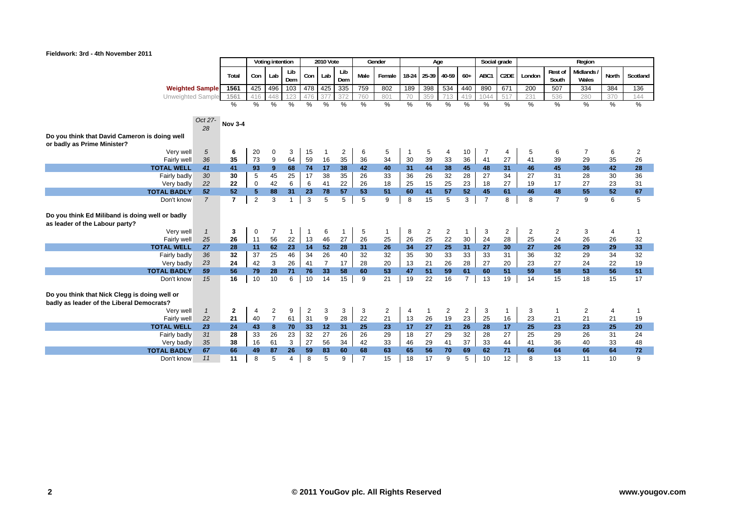

| Lib<br>Rest of<br><b>Midlands</b><br>Lib<br>Lab<br>$18-24$<br>25-39<br>40-59<br>$60+$<br>ABC1<br>C <sub>2</sub> DE<br>Total<br>Con<br>Lab<br>Con<br>Male<br>Female<br>London<br>North<br>Scotland<br>Dem<br>South<br>Dem<br>Wales<br>103<br>478 425<br>335<br>759<br>802<br>189<br>398<br>534<br>440<br>890<br>671<br>425<br>496<br>200<br>507<br>384<br>136<br><b>Weighted Sample</b><br>1561<br>334<br>713<br>517<br><b>Unweighted Sample</b><br>1561<br>416<br>372<br>760<br>801<br>70<br>359<br>419<br>1044<br>231<br>536<br>280<br>144<br>370<br>476<br>448<br>123<br>377<br>$\frac{0}{0}$<br>$\%$<br>%<br>%<br>%<br>%<br>%<br>%<br>$\frac{1}{2}$<br>$\%$<br>%<br>%<br>$\%$<br>%<br>$\%$<br>%<br>%<br>%<br>%<br>$\%$<br>Oct 27-<br><b>Nov 3-4</b><br>28<br>Do you think that David Cameron is doing well<br>or badly as Prime Minister?<br>5<br>Very well<br>6<br>20<br>3<br>15<br>$\overline{2}$<br>10<br>$\overline{7}$<br>6<br>$\overline{2}$<br>0<br>6<br>5<br>5<br>7<br>5<br>6<br>4<br>4<br>64<br>59<br>36<br>35<br>73<br>9<br>16<br>35<br>36<br>34<br>30<br>39<br>36<br>41<br>27<br>33<br>41<br>39<br>29<br>35<br>26<br>Fairly well<br>44<br>9<br>74<br>17<br>38<br>38<br>28<br>41<br>41<br>93<br>68<br>42<br>40<br>31<br>45<br>48<br>31<br>46<br>45<br>36<br>42<br><b>TOTAL WELL</b><br>30<br>45<br>25<br>35<br>36<br>30<br>5<br>17<br>38<br>26<br>33<br>36<br>26<br>32<br>28<br>27<br>34<br>27<br>31<br>28<br>30<br>Fairly badly<br>42<br>6<br>15<br>25<br>31<br>22<br>$\mathbf 0$<br>6<br>41<br>22<br>18<br>25<br>23<br>27<br>19<br>17<br>22<br>26<br>18<br>27<br>23<br>Very badly<br>57<br>57<br>41<br>61<br>52<br>52<br>5<br>88<br>31<br>23<br>51<br>60<br>52<br>45<br>46<br>48<br>55<br>52<br>67<br>78<br>53<br><b>TOTAL BADLY</b><br>$\overline{7}$<br>$\overline{7}$<br>$\overline{7}$<br>3<br>15<br>5<br>3<br>$\overline{7}$<br>8<br>8<br>9<br>6<br>5<br>2<br>3<br>5<br>5<br>5<br>9<br>8<br>Don't know<br>$\mathbf{1}$<br>3<br>3<br>5<br>$\overline{2}$<br>$\overline{2}$<br>$\overline{2}$<br>$\overline{2}$<br>Very well<br>$\overline{1}$<br>7<br>6<br>8<br>2<br>3<br>0<br>4<br>$\mathbf{1}$<br>1<br>56<br>25<br>22<br>46<br>27<br>26<br>25<br>26<br>22<br>30<br>24<br>28<br>25<br>24<br>26<br>32<br>25<br>26<br>13<br>26<br>Fairly well<br>11<br>27<br><b>TOTAL WELL</b><br>27<br>11<br>62<br>23<br>52<br>28<br>34<br>25<br>31<br>26<br>33<br>14<br>31<br>26<br>30<br>27<br>29<br>29<br>28<br>27<br>25<br>32<br>37<br>46<br>34<br>26<br>32<br>35<br>30<br>33<br>33<br>34<br>Fairly badly<br>36<br>32<br>40<br>32<br>33<br>31<br>36<br>32<br>29<br>24<br>42<br>3<br>26<br>41<br>$\overline{7}$<br>20<br>21<br>19<br>23<br>17<br>28<br>13<br>26<br>28<br>20<br>23<br>27<br>24<br>Very badly<br>27<br>22<br>51<br>76<br>47<br>51<br>59<br>51<br>56<br><b>TOTAL BADLY</b><br>59<br>79<br>28<br>71<br>33<br>58<br>60<br>53<br>61<br>60<br>59<br>58<br>53<br>56<br>22<br>16<br>10<br>6<br>21<br>19<br>16<br>$\overline{7}$<br>13<br>19<br>15<br>17<br>15<br>10<br>10<br>14<br>15<br>9<br>14<br>15<br>18<br>Don't know<br>Do you think that Nick Clegg is doing well or<br>badly as leader of the Liberal Democrats?<br>2<br>9<br>$\overline{c}$<br>3<br>3<br>3<br>$\overline{2}$<br>$\overline{2}$<br>3<br>$\overline{2}$<br>Very well<br>2<br>2<br>3<br>$\mathbf{1}$<br>$\overline{1}$<br>$\mathbf{1}$<br>4<br>$\overline{4}$<br>4<br>$\overline{7}$<br>31<br>$9\,$<br>28<br>19<br>16<br>61<br>22<br>21<br>26<br>23<br>25<br>23<br>21<br>22<br>21<br>40<br>13<br>Fairly well<br>21<br>19<br>21<br>33<br>12<br>27<br>21<br>25<br>25<br>20<br><b>TOTAL WELL</b><br>23<br>43<br>70<br>31<br>25<br>17<br>26<br>17<br>23<br>23<br>24<br>8<br>23<br>28<br>26<br>32<br>31<br>24<br>23<br>27<br>26<br>29<br>27<br>29<br>27<br>25<br>29<br>31<br>28<br>33<br>32<br>26<br>18<br>28<br>26<br>Fairly badly |                                                                                   |    |    |    | Voting intention |   |    | <b>2010 Vote</b> |    |    | Gender | Age |    |    | Social grade |    |    |    | Region |    |
|-------------------------------------------------------------------------------------------------------------------------------------------------------------------------------------------------------------------------------------------------------------------------------------------------------------------------------------------------------------------------------------------------------------------------------------------------------------------------------------------------------------------------------------------------------------------------------------------------------------------------------------------------------------------------------------------------------------------------------------------------------------------------------------------------------------------------------------------------------------------------------------------------------------------------------------------------------------------------------------------------------------------------------------------------------------------------------------------------------------------------------------------------------------------------------------------------------------------------------------------------------------------------------------------------------------------------------------------------------------------------------------------------------------------------------------------------------------------------------------------------------------------------------------------------------------------------------------------------------------------------------------------------------------------------------------------------------------------------------------------------------------------------------------------------------------------------------------------------------------------------------------------------------------------------------------------------------------------------------------------------------------------------------------------------------------------------------------------------------------------------------------------------------------------------------------------------------------------------------------------------------------------------------------------------------------------------------------------------------------------------------------------------------------------------------------------------------------------------------------------------------------------------------------------------------------------------------------------------------------------------------------------------------------------------------------------------------------------------------------------------------------------------------------------------------------------------------------------------------------------------------------------------------------------------------------------------------------------------------------------------------------------------------------------------------------------------------------------------------------------------------------------------------------------------------------------------------------------------------------------------------------------------------------------------------------------------------------------------------------------------------------------------------------------------------------------------------------------------------------------------------------------------------------------------------------------------------------------------------------------------------------------------------------------------------------------------------------------------------------------------------------------------------------------------------------------|-----------------------------------------------------------------------------------|----|----|----|------------------|---|----|------------------|----|----|--------|-----|----|----|--------------|----|----|----|--------|----|
|                                                                                                                                                                                                                                                                                                                                                                                                                                                                                                                                                                                                                                                                                                                                                                                                                                                                                                                                                                                                                                                                                                                                                                                                                                                                                                                                                                                                                                                                                                                                                                                                                                                                                                                                                                                                                                                                                                                                                                                                                                                                                                                                                                                                                                                                                                                                                                                                                                                                                                                                                                                                                                                                                                                                                                                                                                                                                                                                                                                                                                                                                                                                                                                                                                                                                                                                                                                                                                                                                                                                                                                                                                                                                                                                                                                                                   |                                                                                   |    |    |    |                  |   |    |                  |    |    |        |     |    |    |              |    |    |    |        |    |
|                                                                                                                                                                                                                                                                                                                                                                                                                                                                                                                                                                                                                                                                                                                                                                                                                                                                                                                                                                                                                                                                                                                                                                                                                                                                                                                                                                                                                                                                                                                                                                                                                                                                                                                                                                                                                                                                                                                                                                                                                                                                                                                                                                                                                                                                                                                                                                                                                                                                                                                                                                                                                                                                                                                                                                                                                                                                                                                                                                                                                                                                                                                                                                                                                                                                                                                                                                                                                                                                                                                                                                                                                                                                                                                                                                                                                   |                                                                                   |    |    |    |                  |   |    |                  |    |    |        |     |    |    |              |    |    |    |        |    |
|                                                                                                                                                                                                                                                                                                                                                                                                                                                                                                                                                                                                                                                                                                                                                                                                                                                                                                                                                                                                                                                                                                                                                                                                                                                                                                                                                                                                                                                                                                                                                                                                                                                                                                                                                                                                                                                                                                                                                                                                                                                                                                                                                                                                                                                                                                                                                                                                                                                                                                                                                                                                                                                                                                                                                                                                                                                                                                                                                                                                                                                                                                                                                                                                                                                                                                                                                                                                                                                                                                                                                                                                                                                                                                                                                                                                                   |                                                                                   |    |    |    |                  |   |    |                  |    |    |        |     |    |    |              |    |    |    |        |    |
|                                                                                                                                                                                                                                                                                                                                                                                                                                                                                                                                                                                                                                                                                                                                                                                                                                                                                                                                                                                                                                                                                                                                                                                                                                                                                                                                                                                                                                                                                                                                                                                                                                                                                                                                                                                                                                                                                                                                                                                                                                                                                                                                                                                                                                                                                                                                                                                                                                                                                                                                                                                                                                                                                                                                                                                                                                                                                                                                                                                                                                                                                                                                                                                                                                                                                                                                                                                                                                                                                                                                                                                                                                                                                                                                                                                                                   |                                                                                   |    |    |    |                  |   |    |                  |    |    |        |     |    |    |              |    |    |    |        |    |
|                                                                                                                                                                                                                                                                                                                                                                                                                                                                                                                                                                                                                                                                                                                                                                                                                                                                                                                                                                                                                                                                                                                                                                                                                                                                                                                                                                                                                                                                                                                                                                                                                                                                                                                                                                                                                                                                                                                                                                                                                                                                                                                                                                                                                                                                                                                                                                                                                                                                                                                                                                                                                                                                                                                                                                                                                                                                                                                                                                                                                                                                                                                                                                                                                                                                                                                                                                                                                                                                                                                                                                                                                                                                                                                                                                                                                   |                                                                                   |    |    |    |                  |   |    |                  |    |    |        |     |    |    |              |    |    |    |        |    |
|                                                                                                                                                                                                                                                                                                                                                                                                                                                                                                                                                                                                                                                                                                                                                                                                                                                                                                                                                                                                                                                                                                                                                                                                                                                                                                                                                                                                                                                                                                                                                                                                                                                                                                                                                                                                                                                                                                                                                                                                                                                                                                                                                                                                                                                                                                                                                                                                                                                                                                                                                                                                                                                                                                                                                                                                                                                                                                                                                                                                                                                                                                                                                                                                                                                                                                                                                                                                                                                                                                                                                                                                                                                                                                                                                                                                                   |                                                                                   |    |    |    |                  |   |    |                  |    |    |        |     |    |    |              |    |    |    |        |    |
|                                                                                                                                                                                                                                                                                                                                                                                                                                                                                                                                                                                                                                                                                                                                                                                                                                                                                                                                                                                                                                                                                                                                                                                                                                                                                                                                                                                                                                                                                                                                                                                                                                                                                                                                                                                                                                                                                                                                                                                                                                                                                                                                                                                                                                                                                                                                                                                                                                                                                                                                                                                                                                                                                                                                                                                                                                                                                                                                                                                                                                                                                                                                                                                                                                                                                                                                                                                                                                                                                                                                                                                                                                                                                                                                                                                                                   |                                                                                   |    |    |    |                  |   |    |                  |    |    |        |     |    |    |              |    |    |    |        |    |
|                                                                                                                                                                                                                                                                                                                                                                                                                                                                                                                                                                                                                                                                                                                                                                                                                                                                                                                                                                                                                                                                                                                                                                                                                                                                                                                                                                                                                                                                                                                                                                                                                                                                                                                                                                                                                                                                                                                                                                                                                                                                                                                                                                                                                                                                                                                                                                                                                                                                                                                                                                                                                                                                                                                                                                                                                                                                                                                                                                                                                                                                                                                                                                                                                                                                                                                                                                                                                                                                                                                                                                                                                                                                                                                                                                                                                   |                                                                                   |    |    |    |                  |   |    |                  |    |    |        |     |    |    |              |    |    |    |        |    |
|                                                                                                                                                                                                                                                                                                                                                                                                                                                                                                                                                                                                                                                                                                                                                                                                                                                                                                                                                                                                                                                                                                                                                                                                                                                                                                                                                                                                                                                                                                                                                                                                                                                                                                                                                                                                                                                                                                                                                                                                                                                                                                                                                                                                                                                                                                                                                                                                                                                                                                                                                                                                                                                                                                                                                                                                                                                                                                                                                                                                                                                                                                                                                                                                                                                                                                                                                                                                                                                                                                                                                                                                                                                                                                                                                                                                                   |                                                                                   |    |    |    |                  |   |    |                  |    |    |        |     |    |    |              |    |    |    |        |    |
|                                                                                                                                                                                                                                                                                                                                                                                                                                                                                                                                                                                                                                                                                                                                                                                                                                                                                                                                                                                                                                                                                                                                                                                                                                                                                                                                                                                                                                                                                                                                                                                                                                                                                                                                                                                                                                                                                                                                                                                                                                                                                                                                                                                                                                                                                                                                                                                                                                                                                                                                                                                                                                                                                                                                                                                                                                                                                                                                                                                                                                                                                                                                                                                                                                                                                                                                                                                                                                                                                                                                                                                                                                                                                                                                                                                                                   |                                                                                   |    |    |    |                  |   |    |                  |    |    |        |     |    |    |              |    |    |    |        |    |
|                                                                                                                                                                                                                                                                                                                                                                                                                                                                                                                                                                                                                                                                                                                                                                                                                                                                                                                                                                                                                                                                                                                                                                                                                                                                                                                                                                                                                                                                                                                                                                                                                                                                                                                                                                                                                                                                                                                                                                                                                                                                                                                                                                                                                                                                                                                                                                                                                                                                                                                                                                                                                                                                                                                                                                                                                                                                                                                                                                                                                                                                                                                                                                                                                                                                                                                                                                                                                                                                                                                                                                                                                                                                                                                                                                                                                   |                                                                                   |    |    |    |                  |   |    |                  |    |    |        |     |    |    |              |    |    |    |        |    |
|                                                                                                                                                                                                                                                                                                                                                                                                                                                                                                                                                                                                                                                                                                                                                                                                                                                                                                                                                                                                                                                                                                                                                                                                                                                                                                                                                                                                                                                                                                                                                                                                                                                                                                                                                                                                                                                                                                                                                                                                                                                                                                                                                                                                                                                                                                                                                                                                                                                                                                                                                                                                                                                                                                                                                                                                                                                                                                                                                                                                                                                                                                                                                                                                                                                                                                                                                                                                                                                                                                                                                                                                                                                                                                                                                                                                                   |                                                                                   |    |    |    |                  |   |    |                  |    |    |        |     |    |    |              |    |    |    |        |    |
|                                                                                                                                                                                                                                                                                                                                                                                                                                                                                                                                                                                                                                                                                                                                                                                                                                                                                                                                                                                                                                                                                                                                                                                                                                                                                                                                                                                                                                                                                                                                                                                                                                                                                                                                                                                                                                                                                                                                                                                                                                                                                                                                                                                                                                                                                                                                                                                                                                                                                                                                                                                                                                                                                                                                                                                                                                                                                                                                                                                                                                                                                                                                                                                                                                                                                                                                                                                                                                                                                                                                                                                                                                                                                                                                                                                                                   |                                                                                   |    |    |    |                  |   |    |                  |    |    |        |     |    |    |              |    |    |    |        |    |
|                                                                                                                                                                                                                                                                                                                                                                                                                                                                                                                                                                                                                                                                                                                                                                                                                                                                                                                                                                                                                                                                                                                                                                                                                                                                                                                                                                                                                                                                                                                                                                                                                                                                                                                                                                                                                                                                                                                                                                                                                                                                                                                                                                                                                                                                                                                                                                                                                                                                                                                                                                                                                                                                                                                                                                                                                                                                                                                                                                                                                                                                                                                                                                                                                                                                                                                                                                                                                                                                                                                                                                                                                                                                                                                                                                                                                   |                                                                                   |    |    |    |                  |   |    |                  |    |    |        |     |    |    |              |    |    |    |        |    |
|                                                                                                                                                                                                                                                                                                                                                                                                                                                                                                                                                                                                                                                                                                                                                                                                                                                                                                                                                                                                                                                                                                                                                                                                                                                                                                                                                                                                                                                                                                                                                                                                                                                                                                                                                                                                                                                                                                                                                                                                                                                                                                                                                                                                                                                                                                                                                                                                                                                                                                                                                                                                                                                                                                                                                                                                                                                                                                                                                                                                                                                                                                                                                                                                                                                                                                                                                                                                                                                                                                                                                                                                                                                                                                                                                                                                                   |                                                                                   |    |    |    |                  |   |    |                  |    |    |        |     |    |    |              |    |    |    |        |    |
|                                                                                                                                                                                                                                                                                                                                                                                                                                                                                                                                                                                                                                                                                                                                                                                                                                                                                                                                                                                                                                                                                                                                                                                                                                                                                                                                                                                                                                                                                                                                                                                                                                                                                                                                                                                                                                                                                                                                                                                                                                                                                                                                                                                                                                                                                                                                                                                                                                                                                                                                                                                                                                                                                                                                                                                                                                                                                                                                                                                                                                                                                                                                                                                                                                                                                                                                                                                                                                                                                                                                                                                                                                                                                                                                                                                                                   |                                                                                   |    |    |    |                  |   |    |                  |    |    |        |     |    |    |              |    |    |    |        |    |
|                                                                                                                                                                                                                                                                                                                                                                                                                                                                                                                                                                                                                                                                                                                                                                                                                                                                                                                                                                                                                                                                                                                                                                                                                                                                                                                                                                                                                                                                                                                                                                                                                                                                                                                                                                                                                                                                                                                                                                                                                                                                                                                                                                                                                                                                                                                                                                                                                                                                                                                                                                                                                                                                                                                                                                                                                                                                                                                                                                                                                                                                                                                                                                                                                                                                                                                                                                                                                                                                                                                                                                                                                                                                                                                                                                                                                   | Do you think Ed Miliband is doing well or badly<br>as leader of the Labour party? |    |    |    |                  |   |    |                  |    |    |        |     |    |    |              |    |    |    |        |    |
|                                                                                                                                                                                                                                                                                                                                                                                                                                                                                                                                                                                                                                                                                                                                                                                                                                                                                                                                                                                                                                                                                                                                                                                                                                                                                                                                                                                                                                                                                                                                                                                                                                                                                                                                                                                                                                                                                                                                                                                                                                                                                                                                                                                                                                                                                                                                                                                                                                                                                                                                                                                                                                                                                                                                                                                                                                                                                                                                                                                                                                                                                                                                                                                                                                                                                                                                                                                                                                                                                                                                                                                                                                                                                                                                                                                                                   |                                                                                   |    |    |    |                  |   |    |                  |    |    |        |     |    |    |              |    |    |    |        |    |
|                                                                                                                                                                                                                                                                                                                                                                                                                                                                                                                                                                                                                                                                                                                                                                                                                                                                                                                                                                                                                                                                                                                                                                                                                                                                                                                                                                                                                                                                                                                                                                                                                                                                                                                                                                                                                                                                                                                                                                                                                                                                                                                                                                                                                                                                                                                                                                                                                                                                                                                                                                                                                                                                                                                                                                                                                                                                                                                                                                                                                                                                                                                                                                                                                                                                                                                                                                                                                                                                                                                                                                                                                                                                                                                                                                                                                   |                                                                                   |    |    |    |                  |   |    |                  |    |    |        |     |    |    |              |    |    |    |        |    |
|                                                                                                                                                                                                                                                                                                                                                                                                                                                                                                                                                                                                                                                                                                                                                                                                                                                                                                                                                                                                                                                                                                                                                                                                                                                                                                                                                                                                                                                                                                                                                                                                                                                                                                                                                                                                                                                                                                                                                                                                                                                                                                                                                                                                                                                                                                                                                                                                                                                                                                                                                                                                                                                                                                                                                                                                                                                                                                                                                                                                                                                                                                                                                                                                                                                                                                                                                                                                                                                                                                                                                                                                                                                                                                                                                                                                                   |                                                                                   |    |    |    |                  |   |    |                  |    |    |        |     |    |    |              |    |    |    |        |    |
|                                                                                                                                                                                                                                                                                                                                                                                                                                                                                                                                                                                                                                                                                                                                                                                                                                                                                                                                                                                                                                                                                                                                                                                                                                                                                                                                                                                                                                                                                                                                                                                                                                                                                                                                                                                                                                                                                                                                                                                                                                                                                                                                                                                                                                                                                                                                                                                                                                                                                                                                                                                                                                                                                                                                                                                                                                                                                                                                                                                                                                                                                                                                                                                                                                                                                                                                                                                                                                                                                                                                                                                                                                                                                                                                                                                                                   |                                                                                   |    |    |    |                  |   |    |                  |    |    |        |     |    |    |              |    |    |    |        |    |
|                                                                                                                                                                                                                                                                                                                                                                                                                                                                                                                                                                                                                                                                                                                                                                                                                                                                                                                                                                                                                                                                                                                                                                                                                                                                                                                                                                                                                                                                                                                                                                                                                                                                                                                                                                                                                                                                                                                                                                                                                                                                                                                                                                                                                                                                                                                                                                                                                                                                                                                                                                                                                                                                                                                                                                                                                                                                                                                                                                                                                                                                                                                                                                                                                                                                                                                                                                                                                                                                                                                                                                                                                                                                                                                                                                                                                   |                                                                                   |    |    |    |                  |   |    |                  |    |    |        |     |    |    |              |    |    |    |        |    |
|                                                                                                                                                                                                                                                                                                                                                                                                                                                                                                                                                                                                                                                                                                                                                                                                                                                                                                                                                                                                                                                                                                                                                                                                                                                                                                                                                                                                                                                                                                                                                                                                                                                                                                                                                                                                                                                                                                                                                                                                                                                                                                                                                                                                                                                                                                                                                                                                                                                                                                                                                                                                                                                                                                                                                                                                                                                                                                                                                                                                                                                                                                                                                                                                                                                                                                                                                                                                                                                                                                                                                                                                                                                                                                                                                                                                                   |                                                                                   |    |    |    |                  |   |    |                  |    |    |        |     |    |    |              |    |    |    |        |    |
|                                                                                                                                                                                                                                                                                                                                                                                                                                                                                                                                                                                                                                                                                                                                                                                                                                                                                                                                                                                                                                                                                                                                                                                                                                                                                                                                                                                                                                                                                                                                                                                                                                                                                                                                                                                                                                                                                                                                                                                                                                                                                                                                                                                                                                                                                                                                                                                                                                                                                                                                                                                                                                                                                                                                                                                                                                                                                                                                                                                                                                                                                                                                                                                                                                                                                                                                                                                                                                                                                                                                                                                                                                                                                                                                                                                                                   |                                                                                   |    |    |    |                  |   |    |                  |    |    |        |     |    |    |              |    |    |    |        |    |
|                                                                                                                                                                                                                                                                                                                                                                                                                                                                                                                                                                                                                                                                                                                                                                                                                                                                                                                                                                                                                                                                                                                                                                                                                                                                                                                                                                                                                                                                                                                                                                                                                                                                                                                                                                                                                                                                                                                                                                                                                                                                                                                                                                                                                                                                                                                                                                                                                                                                                                                                                                                                                                                                                                                                                                                                                                                                                                                                                                                                                                                                                                                                                                                                                                                                                                                                                                                                                                                                                                                                                                                                                                                                                                                                                                                                                   |                                                                                   |    |    |    |                  |   |    |                  |    |    |        |     |    |    |              |    |    |    |        |    |
|                                                                                                                                                                                                                                                                                                                                                                                                                                                                                                                                                                                                                                                                                                                                                                                                                                                                                                                                                                                                                                                                                                                                                                                                                                                                                                                                                                                                                                                                                                                                                                                                                                                                                                                                                                                                                                                                                                                                                                                                                                                                                                                                                                                                                                                                                                                                                                                                                                                                                                                                                                                                                                                                                                                                                                                                                                                                                                                                                                                                                                                                                                                                                                                                                                                                                                                                                                                                                                                                                                                                                                                                                                                                                                                                                                                                                   |                                                                                   |    |    |    |                  |   |    |                  |    |    |        |     |    |    |              |    |    |    |        |    |
|                                                                                                                                                                                                                                                                                                                                                                                                                                                                                                                                                                                                                                                                                                                                                                                                                                                                                                                                                                                                                                                                                                                                                                                                                                                                                                                                                                                                                                                                                                                                                                                                                                                                                                                                                                                                                                                                                                                                                                                                                                                                                                                                                                                                                                                                                                                                                                                                                                                                                                                                                                                                                                                                                                                                                                                                                                                                                                                                                                                                                                                                                                                                                                                                                                                                                                                                                                                                                                                                                                                                                                                                                                                                                                                                                                                                                   |                                                                                   |    |    |    |                  |   |    |                  |    |    |        |     |    |    |              |    |    |    |        |    |
|                                                                                                                                                                                                                                                                                                                                                                                                                                                                                                                                                                                                                                                                                                                                                                                                                                                                                                                                                                                                                                                                                                                                                                                                                                                                                                                                                                                                                                                                                                                                                                                                                                                                                                                                                                                                                                                                                                                                                                                                                                                                                                                                                                                                                                                                                                                                                                                                                                                                                                                                                                                                                                                                                                                                                                                                                                                                                                                                                                                                                                                                                                                                                                                                                                                                                                                                                                                                                                                                                                                                                                                                                                                                                                                                                                                                                   |                                                                                   |    |    |    |                  |   |    |                  |    |    |        |     |    |    |              |    |    |    |        |    |
|                                                                                                                                                                                                                                                                                                                                                                                                                                                                                                                                                                                                                                                                                                                                                                                                                                                                                                                                                                                                                                                                                                                                                                                                                                                                                                                                                                                                                                                                                                                                                                                                                                                                                                                                                                                                                                                                                                                                                                                                                                                                                                                                                                                                                                                                                                                                                                                                                                                                                                                                                                                                                                                                                                                                                                                                                                                                                                                                                                                                                                                                                                                                                                                                                                                                                                                                                                                                                                                                                                                                                                                                                                                                                                                                                                                                                   |                                                                                   |    |    |    |                  |   |    |                  |    |    |        |     |    |    |              |    |    |    |        |    |
|                                                                                                                                                                                                                                                                                                                                                                                                                                                                                                                                                                                                                                                                                                                                                                                                                                                                                                                                                                                                                                                                                                                                                                                                                                                                                                                                                                                                                                                                                                                                                                                                                                                                                                                                                                                                                                                                                                                                                                                                                                                                                                                                                                                                                                                                                                                                                                                                                                                                                                                                                                                                                                                                                                                                                                                                                                                                                                                                                                                                                                                                                                                                                                                                                                                                                                                                                                                                                                                                                                                                                                                                                                                                                                                                                                                                                   |                                                                                   |    |    |    |                  |   |    |                  |    |    |        |     |    |    |              |    |    |    |        |    |
|                                                                                                                                                                                                                                                                                                                                                                                                                                                                                                                                                                                                                                                                                                                                                                                                                                                                                                                                                                                                                                                                                                                                                                                                                                                                                                                                                                                                                                                                                                                                                                                                                                                                                                                                                                                                                                                                                                                                                                                                                                                                                                                                                                                                                                                                                                                                                                                                                                                                                                                                                                                                                                                                                                                                                                                                                                                                                                                                                                                                                                                                                                                                                                                                                                                                                                                                                                                                                                                                                                                                                                                                                                                                                                                                                                                                                   |                                                                                   | 35 | 38 | 16 | 61               | 3 | 27 | 56               | 34 | 42 |        | 29  | 41 | 37 |              | 44 | 41 | 36 | 40     | 48 |
| 33<br>33<br>46<br>33<br>Very badly<br>67<br>26<br>59<br>60<br>63<br>56<br>70<br>66<br>64<br>64<br>72<br>66<br>49<br>87<br>83<br>68<br>65<br>69<br>62<br>71<br>66<br><b>TOTAL BADLY</b>                                                                                                                                                                                                                                                                                                                                                                                                                                                                                                                                                                                                                                                                                                                                                                                                                                                                                                                                                                                                                                                                                                                                                                                                                                                                                                                                                                                                                                                                                                                                                                                                                                                                                                                                                                                                                                                                                                                                                                                                                                                                                                                                                                                                                                                                                                                                                                                                                                                                                                                                                                                                                                                                                                                                                                                                                                                                                                                                                                                                                                                                                                                                                                                                                                                                                                                                                                                                                                                                                                                                                                                                                            |                                                                                   |    |    |    |                  |   |    |                  |    |    |        |     |    |    |              |    |    |    |        |    |
| 5<br>8<br>5<br>9<br>$\overline{7}$<br>15<br>18<br>17<br>9<br>5<br>10<br>12<br>13<br>10<br>9<br>11<br>11<br>8<br>$\overline{4}$<br>8<br>11<br>Don't know                                                                                                                                                                                                                                                                                                                                                                                                                                                                                                                                                                                                                                                                                                                                                                                                                                                                                                                                                                                                                                                                                                                                                                                                                                                                                                                                                                                                                                                                                                                                                                                                                                                                                                                                                                                                                                                                                                                                                                                                                                                                                                                                                                                                                                                                                                                                                                                                                                                                                                                                                                                                                                                                                                                                                                                                                                                                                                                                                                                                                                                                                                                                                                                                                                                                                                                                                                                                                                                                                                                                                                                                                                                           |                                                                                   |    |    |    |                  |   |    |                  |    |    |        |     |    |    |              |    |    |    |        |    |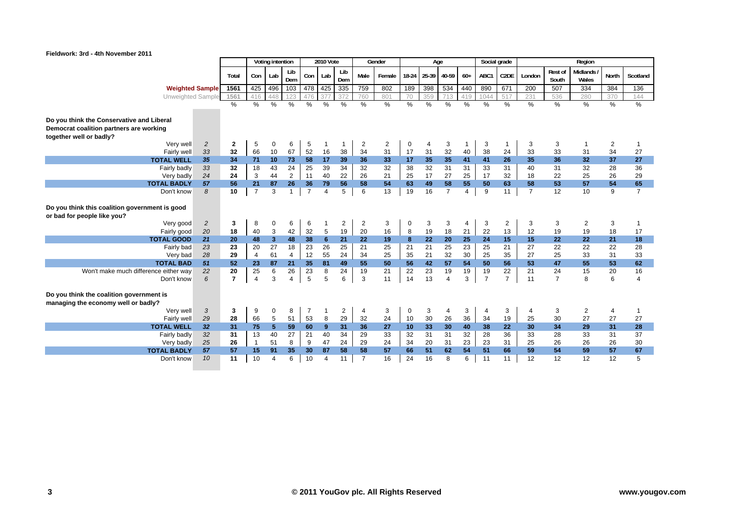

|                                                                                                                 |                |                |                | Voting intention |                |                  | <b>2010 Vote</b> |                |                | Gender         |             | Age            |                |               |                | Social grade   |                |                         | Region            |                |                |
|-----------------------------------------------------------------------------------------------------------------|----------------|----------------|----------------|------------------|----------------|------------------|------------------|----------------|----------------|----------------|-------------|----------------|----------------|---------------|----------------|----------------|----------------|-------------------------|-------------------|----------------|----------------|
|                                                                                                                 |                | Total          | Con            | Lab              | Lib<br>Dem     | Con <sub>1</sub> | Lab              | Lib<br>Dem     | Male           | Female         |             | 18-24 25-39    | 40-59          | $60+$         | ABC1           | C2DE           | London         | <b>Rest of</b><br>South | Midlands<br>Wales | North          | Scotland       |
| <b>Weighted Sample</b>                                                                                          |                | 1561           | 425            | 496              | 103            |                  | 478 425          | 335            | 759            | 802            | 189         | 398            | 534            | 440           | 890            | 671            | 200            | 507                     | 334               | 384            | 136            |
| Unweighted Sample                                                                                               |                | 1561           | 416            | 448              | 123            | 476              | 37               | 372            | 760            | 801            | 70          | 359            | 713            | 419           | 1044           | 517            | 231            | 536                     | 280               | 370            | 144            |
|                                                                                                                 |                | $\%$           | $\%$           | $\%$             | %              | $\%$             | $\frac{0}{0}$    | $\%$           | $\frac{9}{6}$  | $\%$           | $\%$        | %              | $\frac{0}{0}$  | $\frac{0}{0}$ | $\%$           | $\frac{9}{6}$  | $\%$           | $\%$                    | $\frac{9}{6}$     | $\frac{0}{0}$  | %              |
| Do you think the Conservative and Liberal<br>Democrat coalition partners are working<br>together well or badly? |                |                |                |                  |                |                  |                  |                |                |                |             |                |                |               |                |                |                |                         |                   |                |                |
| Verv well                                                                                                       | $\overline{2}$ | $\overline{2}$ | 5              | $\mathbf 0$      | 6              | 5                | 1                |                | 2              | $\overline{2}$ | $\mathbf 0$ | $\overline{4}$ | 3              |               | 3              |                | 3              | 3                       | $\overline{1}$    | 2              | -1             |
| Fairly well                                                                                                     | 33             | 32             | 66             | 10               | 67             | 52               | 16               | 38             | 34             | 31             | 17          | 31             | 32             | 40            | 38             | 24             | 33             | 33                      | 31                | 34             | 27             |
| <b>TOTAL WELL</b>                                                                                               | 35             | 34             | 71             | 10               | 73             | 58               | 17               | 39             | 36             | 33             | 17          | 35             | 35             | 41            | 41             | 26             | 35             | 36                      | 32 <sub>2</sub>   | 37             | 27             |
| Fairly badly                                                                                                    | 33             | 32             | 18             | 43               | 24             | 25               | 39               | 34             | 32             | 32             | 38          | 32             | 31             | 31            | 33             | 31             | 40             | 31                      | 32                | 28             | 36             |
| Very badly                                                                                                      | 24             | 24             | 3              | 44               | $\overline{2}$ | 11               | 40               | 22             | 26             | 21             | 25          | 17             | 27             | 25            | 17             | 32             | 18             | 22                      | 25                | 26             | 29             |
| <b>TOTAL BADLY</b>                                                                                              | 57             | 56             | 21             | 87               | 26             | 36               | 79               | 56             | 58             | 54             | 63          | 49             | 58             | 55            | 50             | 63             | 58             | 53                      | 57                | 54             | 65             |
| Don't know                                                                                                      | 8              | 10             | $\overline{7}$ | 3                | $\overline{1}$ | $\overline{7}$   | $\overline{4}$   | 5              | 6              | 13             | 19          | 16             | $\overline{7}$ | 4             | 9              | 11             | $\overline{7}$ | 12                      | 10                | 9              | $\overline{7}$ |
| Do you think this coalition government is good<br>or bad for people like you?                                   |                |                |                |                  |                |                  |                  |                |                |                |             |                |                |               |                |                |                |                         |                   |                |                |
| Very good                                                                                                       | 2              | 3              | 8              | 0                | 6              | 6                | 1                | $\overline{c}$ | $\overline{2}$ | 3              | 0           | 3              | 3              | 4             | 3              | $\overline{2}$ | 3              | 3                       | 2                 | 3              |                |
| Fairly good                                                                                                     | 20             | 18             | 40             | 3                | 42             | 32               | $\overline{5}$   | 19             | 20             | 16             | 8           | 19             | 18             | 21            | 22             | 13             | 12             | 19                      | 19                | 18             | 17             |
| <b>TOTAL GOOD</b>                                                                                               | 21             | 20             | 48             | 3 <sup>2</sup>   | 48             | 38               | $6\phantom{1}$   | 21             | 22             | 19             | 8           | 22             | 20             | 25            | 24             | 15             | 15             | 22                      | 22                | 21             | 18             |
| Fairly bad                                                                                                      | 23             | 23             | 20             | 27               | 18             | 23               | 26               | 25             | 21             | 25             | 21          | 21             | 25             | 23            | 25             | 21             | 27             | 22                      | 22                | 22             | 28             |
| Very bad                                                                                                        | 28             | 29             | $\overline{4}$ | 61               | $\overline{4}$ | 12               | 55               | 24             | 34             | 25             | 35          | 21             | 32             | 30            | 25             | 35             | 27             | 25                      | 33                | 31             | 33             |
| <b>TOTAL BAD</b>                                                                                                | 51             | 52             | 23             | 87               | 21             | 35               | 81               | 49             | 55             | 50             | 56          | 42             | 57             | 54            | 50             | 56             | 53             | 47                      | 55                | 53             | 62             |
| Won't make much difference either way                                                                           | 22             | 20             | 25             | 6                | 26             | 23               | 8                | 24             | 19             | 21             | 22          | 23             | 19             | 19            | 19             | 22             | 21             | 24                      | 15                | 20             | 16             |
| Don't know                                                                                                      | 6              | $\overline{7}$ | $\overline{4}$ | 3                | $\overline{4}$ | 5                | 5                | 6              | 3              | 11             | 14          | 13             | $\overline{4}$ | 3             | $\overline{7}$ | $\overline{7}$ | 11             | $\overline{7}$          | 8                 | 6              | $\overline{4}$ |
| Do you think the coalition government is<br>managing the economy well or badly?                                 |                |                |                |                  |                |                  |                  |                |                |                |             |                |                |               |                |                |                |                         |                   |                |                |
| Verv well                                                                                                       | 3              | 3              | 9              | 0                | 8              | 7                | -1               | $\overline{c}$ | $\overline{4}$ | 3              | 0           | 3              | 4              | 3             | $\overline{4}$ | 3              | $\overline{4}$ | 3                       | $\overline{2}$    | $\overline{4}$ | -1             |
| Fairly well                                                                                                     | 29             | 28             | 66             | 5                | 51             | 53               | $\,8\,$          | 29             | 32             | 24             | 10          | 30             | 26             | 36            | 34             | 19             | 25             | 30                      | 27                | 27             | 27             |
| <b>TOTAL WELL</b>                                                                                               | 32             | 31             | 75             | 5 <sup>5</sup>   | 59             | 60               | 9                | 31             | 36             | 27             | 10          | 33             | 30             | 40            | 38             | 22             | 30             | 34                      | 29                | 31             | 28             |
| Fairly badly                                                                                                    | 32             | 31             | 13             | 40               | 27             | 21               | 40               | 34             | 29             | 33             | 32          | 31             | 31             | 32            | 28             | 36             | 33             | 28                      | 33                | 31             | 37             |
| Very badly                                                                                                      | 25             | 26             | $\mathbf{1}$   | 51               | 8              | 9                | 47               | 24             | 29             | 24             | 34          | 20             | 31             | 23            | 23             | 31             | 25             | 26                      | 26                | 26             | 30             |
| <b>TOTAL BADLY</b>                                                                                              | 57             | 57             | 15             | 91               | 35             | 30               | 87               | 58             | 58             | 57             | 66          | 51             | 62             | 54            | 51             | 66             | 59             | 54                      | 59                | 57             | 67             |
| Don't know                                                                                                      | 10             | 11             | 10             | $\overline{4}$   | 6              | 10               | $\overline{4}$   | 11             | $\overline{7}$ | 16             | 24          | 16             | 8              | 6             | 11             | 11             | 12             | 12                      | 12                | 12             | 5              |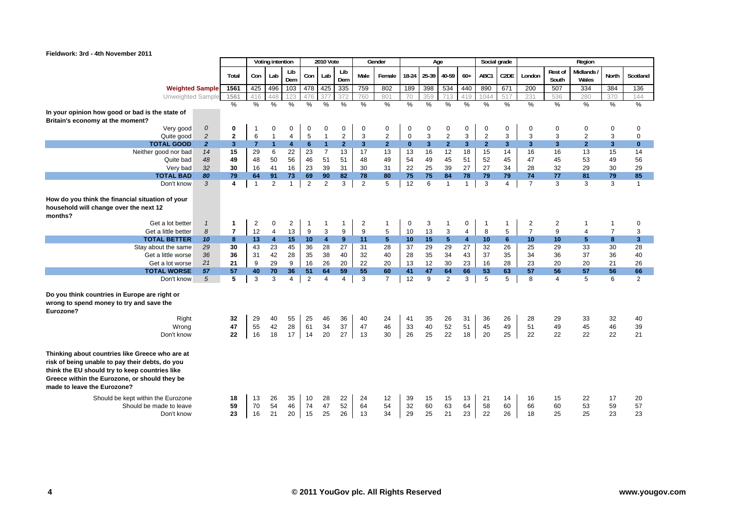

|                                                                                                                                                                                                                                      |                |                |                | Voting intention        |                |                | <b>2010 Vote</b>     |                |                | Gender         |                | Age            |                |                         |                | Social grade      |                 |                  | Region            |                |                |
|--------------------------------------------------------------------------------------------------------------------------------------------------------------------------------------------------------------------------------------|----------------|----------------|----------------|-------------------------|----------------|----------------|----------------------|----------------|----------------|----------------|----------------|----------------|----------------|-------------------------|----------------|-------------------|-----------------|------------------|-------------------|----------------|----------------|
|                                                                                                                                                                                                                                      |                | Total          | Con            | Lab                     | Lib<br>Dem     | Con            | Lab                  | Lib<br>Dem     | Male           | Female         | 18-24          | 25-39          | 40-59          | $60+$                   | ABC1           | C <sub>2</sub> DE | London          | Rest of<br>South | Midlands<br>Wales | <b>North</b>   | Scotland       |
| <b>Weighted Sample</b>                                                                                                                                                                                                               |                | 1561           | 425            | 496                     | 103            | 478            | 425                  | 335            | 759            | 802            | 189            | 398            | 534            | 440                     | 890            | 671               | 200             | 507              | 334               | 384            | 136            |
| Unweighted Sample                                                                                                                                                                                                                    |                | 1561           | 416            | 448                     | 123            | 476            | 377                  | 372            | 760            | 801            | 70             | 359            | 713            | 419                     | 1044           | 517               | 231             | 536              | 280               | 370            | 144            |
|                                                                                                                                                                                                                                      |                | $\frac{9}{6}$  | $\%$           | %                       | $\frac{0}{0}$  | $\%$           | $\frac{0}{0}$        | $\frac{0}{0}$  | $\frac{0}{0}$  | $\frac{9}{6}$  | %              | $\frac{0}{0}$  | $\frac{0}{0}$  | %                       | $\%$           | $\%$              | $\frac{0}{0}$   | $\frac{0}{0}$    | %                 | %              | $\frac{0}{0}$  |
| In your opinion how good or bad is the state of<br>Britain's economy at the moment?                                                                                                                                                  |                |                |                |                         |                |                |                      |                |                |                |                |                |                |                         |                |                   |                 |                  |                   |                |                |
| Very good                                                                                                                                                                                                                            | $\cal O$       | 0              |                | 0                       | 0              | $\mathbf 0$    | 0                    | $\mathbf 0$    | $\mathbf 0$    | 0              | 0              | $\mathbf 0$    | 0              | 0                       | 0              | 0                 | 0               | $\mathbf 0$      | 0                 | $\pmb{0}$      | 0              |
| Quite good                                                                                                                                                                                                                           | $\overline{c}$ | $\mathbf{2}$   | $\,6$          | $\mathbf{1}$            | 4              | $\overline{5}$ | $\overline{1}$       | $\overline{2}$ | 3              | $\overline{2}$ | $\pmb{0}$      | 3              | $\overline{c}$ | 3                       | $\overline{2}$ | 3                 | 3               | 3                | $\overline{2}$    | 3              | $\mathbf 0$    |
| <b>TOTAL GOOD</b>                                                                                                                                                                                                                    | $\overline{2}$ | 3 <sup>1</sup> | $\overline{7}$ | $\blacksquare$          | $\overline{4}$ | $6\phantom{1}$ | $\blacktriangleleft$ | $\overline{2}$ | 3 <sup>2</sup> | 2 <sup>2</sup> | $\mathbf{0}$   | $\overline{3}$ | $\overline{2}$ | $\mathbf{3}$            | $\overline{2}$ | 3 <sup>2</sup>    | 3 <sup>1</sup>  | $\overline{3}$   | 2 <sup>1</sup>    | 3 <sup>2</sup> | $\bf{0}$       |
| Neither good nor bad                                                                                                                                                                                                                 | 14             | 15             | 29             | 6                       | 22             | 23             | $\overline{7}$       | 13             | 17             | 13             | 13             | 16             | 12             | 18                      | 15             | 14                | 16              | 16               | 13                | 15             | 14             |
| Quite bad                                                                                                                                                                                                                            | 48             | 49             | 48             | 50                      | 56             | 46             | 51                   | 51             | 48             | 49             | 54             | 49             | 45             | 51                      | 52             | 45                | 47              | 45               | 53                | 49             | 56             |
| Very bad                                                                                                                                                                                                                             | 32             | 30             | 16             | 41                      | 16             | 23             | 39                   | 31             | 30             | 31             | 22             | 25             | 39             | 27                      | 27             | 34                | 28              | 32               | 29                | 30             | 29             |
| <b>TOTAL BAD</b>                                                                                                                                                                                                                     | 80             | 79             | 64             | 91                      | 73             | 69             | 90                   | 82             | 78             | 80             | 75             | 75             | 84             | 78                      | 79             | 79                | 74              | 77               | 81                | 79             | 85             |
| Don't know                                                                                                                                                                                                                           | 3              | 4              | $\mathbf{1}$   | $\overline{2}$          | $\mathbf{1}$   | $\overline{c}$ | $\overline{2}$       | 3              | $\overline{2}$ | 5              | 12             | 6              | $\overline{1}$ | $\mathbf{1}$            | 3              | $\overline{4}$    | $\overline{7}$  | 3                | 3                 | 3              | $\mathbf{1}$   |
| How do you think the financial situation of your<br>household will change over the next 12<br>months?                                                                                                                                |                |                |                |                         |                |                |                      |                |                |                |                |                |                |                         |                |                   |                 |                  |                   |                |                |
| Get a lot better                                                                                                                                                                                                                     | $\mathcal{I}$  | 1              | $\overline{2}$ | 0                       | $\overline{2}$ | $\mathbf{1}$   | -1                   | 1              | 2              | $\mathbf{1}$   | 0              | 3              | 1              | 0                       | -1             | 1                 | $\overline{2}$  | $\overline{2}$   | -1                | $\mathbf{1}$   | 0              |
| Get a little better                                                                                                                                                                                                                  | 8              | $\overline{7}$ | 12             | 4                       | 13             | 9              | 3                    | 9              | 9              | 5              | 10             | 13             | 3              | $\overline{4}$          | 8              | 5                 | $\overline{7}$  | 9                | 4                 | $\overline{7}$ | 3              |
| <b>TOTAL BETTER</b>                                                                                                                                                                                                                  | 10             | 8              | 13             | $\overline{\mathbf{4}}$ | 15             | 10             | $\overline{4}$       | $9^{\circ}$    | 11             | 5              | 10             | 15             | $5\phantom{1}$ | $\overline{\mathbf{4}}$ | 10             | 6                 | 10 <sup>1</sup> | 10               | 5                 | 8              | 3              |
| Stay about the same                                                                                                                                                                                                                  | 29             | 30             | 43             | 23                      | 45             | 36             | 28                   | 27             | 31             | 28             | 37             | 29             | 29             | 27                      | 32             | 26                | 25              | 29               | 33                | 30             | 28             |
| Get a little worse                                                                                                                                                                                                                   | 36             | 36             | 31             | 42                      | 28             | 35             | 38                   | 40             | 32             | 40             | 28             | 35             | 34             | 43                      | 37             | 35                | 34              | 36               | 37                | 36             | 40             |
| Get a lot worse                                                                                                                                                                                                                      | 21             | 21             | 9              | 29                      | 9              | 16             | 26                   | 20             | 22             | 20             | 13             | 12             | 30             | 23                      | 16             | 28                | 23              | 20               | 20                | 21             | 26             |
| <b>TOTAL WORSE</b>                                                                                                                                                                                                                   | 57             | 57             | 40             | 70                      | 36             | 51             | 64                   | 59             | 55             | 60             | 41             | 47             | 64             | 66                      | 53             | 63                | 57              | 56               | 57                | 56             | 66             |
| Don't know                                                                                                                                                                                                                           | $\sqrt{5}$     | 5              | 3              | 3                       | $\overline{4}$ | $\overline{2}$ | $\overline{4}$       | $\overline{4}$ | 3              | $\overline{7}$ | 12             | 9              | $\overline{2}$ | 3                       | 5              | 5                 | 8               | $\overline{4}$   | 5                 | 6              | 2              |
| Do you think countries in Europe are right or<br>wrong to spend money to try and save the<br>Eurozone?                                                                                                                               |                |                |                |                         |                |                |                      |                |                |                |                |                |                |                         |                |                   |                 |                  |                   |                |                |
| Right                                                                                                                                                                                                                                |                | 32             | 29             | 40                      | 55             | 25             | 46                   | 36             | 40             | 24             | 41             | 35             | 26             | 31                      | 36             | 26                | 28              | 29               | 33                | 32             | 40             |
| Wrong                                                                                                                                                                                                                                |                | 47<br>22       | 55<br>16       | 42<br>18                | 28<br>17       | 61             | 34<br>20             | 37             | 47<br>13       | 46<br>30       | 33<br>26       | 40<br>25       | 52             | 51                      | 45             | 49<br>25          | 51              | 49<br>22         | 45<br>22          | 46<br>22       | 39<br>21       |
| Don't know                                                                                                                                                                                                                           |                |                |                |                         |                | 14             |                      | 27             |                |                |                |                | 22             | 18                      | 20             |                   | 22              |                  |                   |                |                |
| Thinking about countries like Greece who are at<br>risk of being unable to pay their debts, do you<br>think the EU should try to keep countries like<br>Greece within the Eurozone, or should they be<br>made to leave the Eurozone? |                |                |                |                         |                |                |                      |                |                |                |                |                |                |                         |                |                   |                 |                  |                   |                |                |
| Should be kept within the Eurozone<br>Should be made to leave<br>Don't know                                                                                                                                                          |                | 18<br>59<br>23 | 13<br>70<br>16 | 26<br>54<br>21          | 35<br>46<br>20 | 10<br>74<br>15 | 28<br>47<br>25       | 22<br>52<br>26 | 24<br>64<br>13 | 12<br>54<br>34 | 39<br>32<br>29 | 15<br>60<br>25 | 15<br>63<br>21 | 13<br>64<br>23          | 21<br>58<br>22 | 14<br>60<br>26    | 16<br>66<br>18  | 15<br>60<br>25   | 22<br>53<br>25    | 17<br>59<br>23 | 20<br>57<br>23 |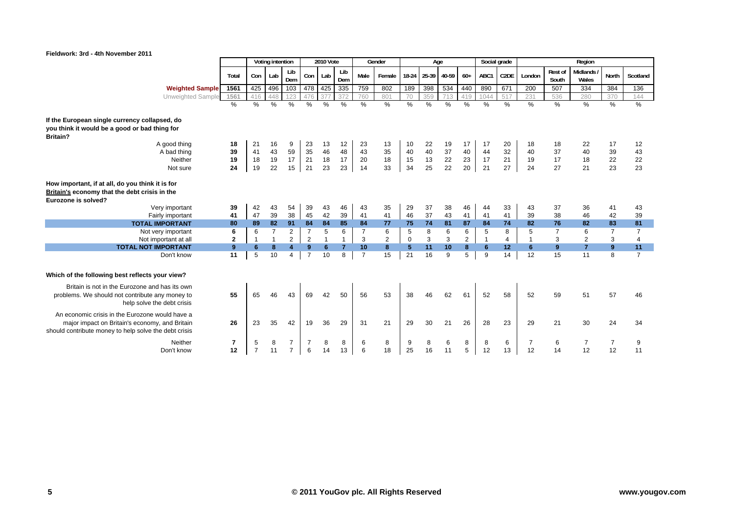

|                                                                                                                                                            |                               |                     | Voting intention |                                  |                | <b>2010 Vote</b> |                |                | Gender         |             | Age         |                 |               | Social grade  |                         |                      |                  | Region               |                      |                |
|------------------------------------------------------------------------------------------------------------------------------------------------------------|-------------------------------|---------------------|------------------|----------------------------------|----------------|------------------|----------------|----------------|----------------|-------------|-------------|-----------------|---------------|---------------|-------------------------|----------------------|------------------|----------------------|----------------------|----------------|
|                                                                                                                                                            | Total                         | Con                 | Lab              | Lib<br>Dem                       | Con            | Lab              | Lib<br>Dem     | Male           | Female         |             | 18-24 25-39 | 40-59           | $60+$         | ABC1          | C2DE                    | London               | Rest of<br>South | Midlands/<br>Wales   | North                | Scotland       |
| <b>Weighted Sample</b>                                                                                                                                     | 1561                          | 425                 | 496              | 103                              | 478            | 425              | 335            | 759            | 802            | 189         | 398         | 534             | 440           | 890           | 671                     | 200                  | 507              | 334                  | 384                  | 136            |
| Unweighted Sample                                                                                                                                          | 1561                          | 416                 | 448              | 123                              | 476            | 377              | 372            | 760            | 801            | 70          | 359         | 713             | 419           | 1044          | 517                     | 231                  | 536              | 280                  | 370                  | 144            |
|                                                                                                                                                            | $\%$                          | %                   | $\frac{0}{0}$    | $\frac{0}{0}$                    | $\frac{0}{0}$  | $\frac{0}{0}$    | $\frac{0}{0}$  | $\frac{0}{0}$  | %              | $\%$        | $\%$        | $\frac{0}{0}$   | $\frac{0}{0}$ | $\frac{0}{0}$ | $\%$                    | $\frac{0}{0}$        | $\frac{0}{0}$    | $\frac{0}{0}$        | $\%$                 | $\%$           |
| If the European single currency collapsed, do<br>you think it would be a good or bad thing for<br>Britain?                                                 |                               |                     |                  |                                  |                |                  |                |                |                |             |             |                 |               |               |                         |                      |                  |                      |                      |                |
| A good thing                                                                                                                                               | 18                            | 21                  | 16               | 9                                | 23             | 13               | 12             | 23             | 13             | 10          | 22          | 19              | 17            | 17            | 20                      | 18                   | 18               | 22                   | 17                   | 12             |
| A bad thing                                                                                                                                                | 39                            | 41                  | 43               | 59                               | 35             | 46               | 48             | 43             | 35             | 40          | 40          | 37              | 40            | 44            | 32                      | 40                   | 37               | 40                   | 39                   | 43             |
| Neither                                                                                                                                                    | 19                            | 18                  | 19               | 17                               | 21             | 18               | 17             | 20             | 18             | 15          | 13          | $\frac{22}{22}$ | 23            | 17            | 21                      | 19                   | 17               | 18                   | 22                   | 22             |
| Not sure                                                                                                                                                   | 24                            | 19                  | 22               | 15                               | 21             | 23               | 23             | 14             | 33             | 34          | 25          |                 | 20            | 21            | 27                      | 24                   | 27               | 21                   | 23                   | 23             |
| How important, if at all, do you think it is for<br>Britain's economy that the debt crisis in the<br>Eurozone is solved?<br>Very important                 | 39                            | 42                  | 43               | 54                               | 39             | 43               | 46             | 43             | 35             | 29          | 37          | 38              | 46            | 44            | 33                      | 43                   | 37               | 36                   | 41                   | 43             |
| Fairly important                                                                                                                                           | 41                            | 47                  | 39               | 38                               | 45             | 42               | 39             | 41             | 41             | 46          | 37          | 43              | 41            | 41            | 41                      | 39                   | 38               | 46                   | 42                   | 39             |
| <b>TOTAL IMPORTANT</b>                                                                                                                                     | 80                            | 89                  | 82               | 91                               | 84             | 84               | 85             | 84             | 77             | 75          | 74          | 81              | 87            | 84            | 74                      | 82                   | 76               | 82                   | 83                   | 81             |
| Not very important                                                                                                                                         | 6                             | 6                   | $\overline{7}$   | 2                                | $\overline{7}$ | 5                | 6              | $\overline{7}$ | 6              | 5           | 8           | 6               | 6             | 5             | 8                       | 5                    |                  | 6                    | $\overline{7}$       | $\overline{7}$ |
| Not important at all                                                                                                                                       | $\mathbf{2}$                  | $\mathbf{1}$        | $\mathbf{1}$     | $\mathbf{2}^{\prime}$            | $\overline{2}$ |                  | $\mathbf{1}$   | 3              | $\overline{2}$ | $\mathbf 0$ | 3           | 3               | $\mathbf{2}$  | $\mathbf{1}$  | $\overline{\mathbf{4}}$ | $\mathbf{1}$         | 3                | $\overline{2}$       | 3                    | $\overline{4}$ |
| <b>TOTAL NOT IMPORTANT</b>                                                                                                                                 | 9                             | 6                   | 8                | $\overline{\mathbf{A}}$          | 9              | 6                | $\overline{7}$ | 10             | 8              | 5           | 11          | 10              | 8             | 6             | 12                      | 6                    | 9                | $\overline{7}$       | $\overline{9}$       | 11             |
| Don't know                                                                                                                                                 | 11                            | 5                   | 10               | $\overline{4}$                   | $\overline{7}$ | 10               | 8              | $\overline{7}$ | 15             | 21          | 16          | 9               | 5             | 9             | 14                      | 12                   | 15               | 11                   | 8                    | $\overline{7}$ |
| Which of the following best reflects your view?                                                                                                            |                               |                     |                  |                                  |                |                  |                |                |                |             |             |                 |               |               |                         |                      |                  |                      |                      |                |
| Britain is not in the Eurozone and has its own<br>problems. We should not contribute any money to<br>help solve the debt crisis                            | 55                            | 65                  | 46               | 43                               | 69             | 42               | 50             | 56             | 53             | 38          | 46          | 62              | 61            | 52            | 58                      | 52                   | 59               | 51                   | 57                   | 46             |
| An economic crisis in the Eurozone would have a<br>major impact on Britain's economy, and Britain<br>should contribute money to help solve the debt crisis | 26                            | 23                  | 35               | 42                               | 19             | 36               | 29             | 31             | 21             | 29          | 30          | 21              | 26            | 28            | 23                      | 29                   | 21               | 30                   | 24                   | 34             |
| Neither<br>Don't know                                                                                                                                      | $\overline{\mathbf{r}}$<br>12 | 5<br>$\overline{7}$ | 8<br>11          | $\overline{7}$<br>$\overline{7}$ | 7<br>6         | 8<br>14          | 8<br>13        | 6<br>6         | 8<br>18        | 9<br>25     | 8<br>16     | 6<br>11         | 8<br>5        | 8<br>12       | 6<br>13                 | $\overline{7}$<br>12 | 6<br>14          | $\overline{7}$<br>12 | $\overline{7}$<br>12 | 9<br>11        |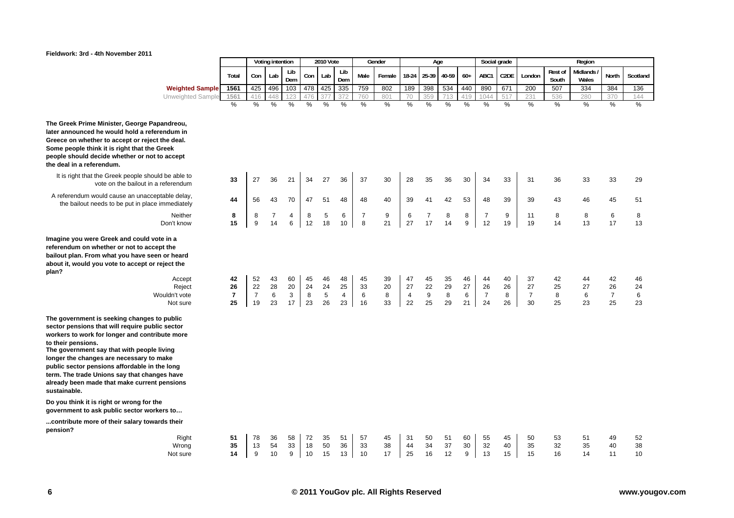

|                                                                                          |                      |                      | Voting intention |            |          | <b>2010 Vote</b> |                      |                     | Gender   |          | Age                  |          |          | Social grade         |                   |                      |                  | Region            |                      |          |
|------------------------------------------------------------------------------------------|----------------------|----------------------|------------------|------------|----------|------------------|----------------------|---------------------|----------|----------|----------------------|----------|----------|----------------------|-------------------|----------------------|------------------|-------------------|----------------------|----------|
|                                                                                          | Total                | Con                  | Lab              | Lib<br>Dem | Con      | Lab              | Lib<br>Dem           | Male                | Female   | 18-24    | 25-39                | 40-59    | $60+$    | ABC1                 | C <sub>2</sub> DE | London               | Rest of<br>South | Midlands<br>Wales | North                | Scotland |
| <b>Weighted Sample</b>                                                                   | 1561                 | 425                  | 496              | 103        | 478      | 425              | 335                  | 759                 | 802      | 189      | 398                  | 534      | 440      | 890                  | 671               | 200                  | 507              | 334               | 384                  | 136      |
| Unweighted Sample                                                                        | 1561                 | 416                  | 448              | 123        | 476      | 377              | 372                  | 760                 | 801      | 70       | 359                  | 713      | 419      | 1044                 | 517               | 231                  | 536              | 280               | 370                  | 144      |
|                                                                                          | %                    | $\frac{0}{0}$        | %                | $\%$       | $\%$     | %                | %                    | $\%$                | %        | $\%$     | %                    | %        | $\%$     | $\%$                 | %                 | %                    | $\%$             | %                 | %                    | $\%$     |
| ge Papandreou,<br>a referendum in<br>reject the deal.<br>t the Greek<br>or not to accept |                      |                      |                  |            |          |                  |                      |                     |          |          |                      |          |          |                      |                   |                      |                  |                   |                      |          |
| e should be able to<br>ut in a referendum                                                | 33                   | 27                   | 36               | 21         | 34       | 27               | 36                   | 37                  | 30       | 28       | 35                   | 36       | 30       | 34                   | 33                | 31                   | 36               | 33                | 33                   | 29       |
| nacceptable delay,<br>place immediately                                                  | 44                   | 56                   | 43               | 70         | 47       | 51               | 48                   | 48                  | 40       | 39       | 41                   | 42       | 53       | 48                   | 39                | 39                   | 43               | 46                | 45                   | 51       |
| Neither<br>Don't know                                                                    | 8<br>15              | 8<br>9               | 7<br>14          | 4<br>6     | 8<br>12  | $\sqrt{5}$<br>18 | 6<br>10              | $\overline{7}$<br>8 | 9<br>21  | 6<br>27  | $\overline{7}$<br>17 | 8<br>14  | 8<br>9   | 7<br>12              | 9<br>19           | 11<br>19             | 8<br>14          | 8<br>13           | 6<br>17              | 8<br>13  |
| uld vote in a<br><b>p</b> accept the<br>e seen or heard<br>pt or reject the              |                      |                      |                  |            |          |                  |                      |                     |          |          |                      |          |          |                      |                   |                      |                  |                   |                      |          |
| Accept                                                                                   | 42                   | 52                   | 43               | 60         | 45       | 46               | 48                   | 45                  | 39       | 47       | 45                   | 35       | 46       | 44                   | 40                | 37                   | 42               | 44                | 42                   | 46       |
| Reject                                                                                   | 26                   | 22                   | 28               | 20         | 24       | 24               | 25                   | 33                  | 20       | 27       | 22                   | 29       | 27       | 26                   | 26                | 27                   | 25               | 27                | 26                   | 24       |
| Wouldn't vote<br>Not sure                                                                | $\overline{7}$<br>25 | $\overline{7}$<br>19 | 6<br>23          | 3<br>17    | 8<br>23  | 5<br>26          | $\overline{4}$<br>23 | 6<br>16             | 8<br>33  | 4<br>22  | $9\,$<br>25          | 8<br>29  | 6<br>21  | $\overline{7}$<br>24 | 8<br>26           | $\overline{7}$<br>30 | 8<br>25          | 6<br>23           | $\overline{7}$<br>25 | 6<br>23  |
| nges to public<br>public sector<br>contribute more                                       |                      |                      |                  |            |          |                  |                      |                     |          |          |                      |          |          |                      |                   |                      |                  |                   |                      |          |
| eople living<br><b>ry to make</b><br>le in the long<br>changes have<br>urrent pensions   |                      |                      |                  |            |          |                  |                      |                     |          |          |                      |          |          |                      |                   |                      |                  |                   |                      |          |
| for the<br>r workers to                                                                  |                      |                      |                  |            |          |                  |                      |                     |          |          |                      |          |          |                      |                   |                      |                  |                   |                      |          |
| towards their                                                                            |                      |                      |                  |            |          |                  |                      |                     |          |          |                      |          |          |                      |                   |                      |                  |                   |                      |          |
| Right<br>Wrong                                                                           | 51<br>35             | 78<br>13             | 36<br>54         | 58<br>33   | 72<br>18 | 35<br>50         | 51<br>36             | 57<br>33            | 45<br>38 | 31<br>44 | 50<br>34             | 51<br>37 | 60<br>30 | 55<br>32             | 45<br>40          | 50<br>35             | 53<br>32         | 51<br>35          | 49<br>40             | 52<br>38 |
| Not sure                                                                                 | 14                   | 9                    | 10               | 9          | 10       | 15               | 13                   | 10                  | 17       | 25       | 16                   | 12       | 9        | 13                   | 15                | 15                   | 16               | 14                | 11                   | 10       |

**The Greek Prime Minister, Georg** later announced he would hold **Greece on whether to accept or** Some people think it is right that people should decide whether or **the deal in a referendum.**

It is right that the Greek people vote on the bailou

A referendum would cause an un the bailout needs to be put in

**Imagine you were Greek and cot** referendum on whether or not to bailout plan. From what you hav about it, would you vote to acce **plan?**

**The government is seeking chang** sector pensions that will require workers to work for longer and **to their pensions.**

The government say that with pe longer the changes are necessa public sector pensions affordabl term. The trade Unions say that already been made that make cu **sustainable.**

Do you think it is right or wrong government to ask public sector

...contribute more of their salary **pension?**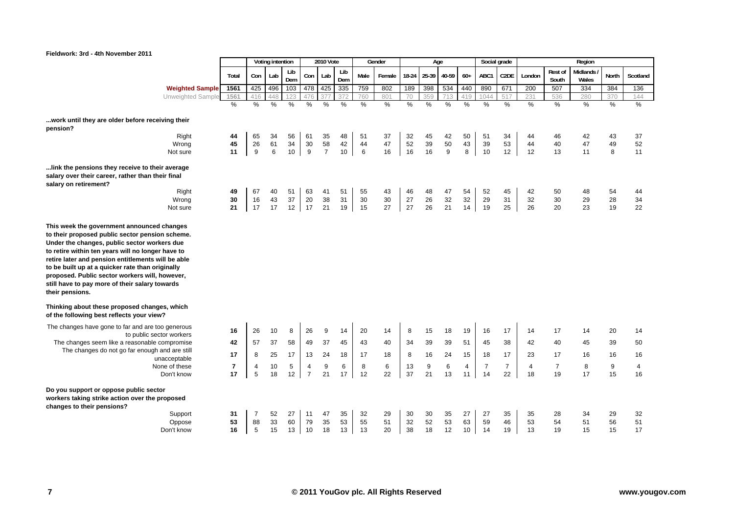

|                                                                                                                                                                                                                                                                                                                                    |                               |                  | Voting intention |               |                                  | <b>2010 Vote</b> |            |               | Gender  |               | Age           |         |         |                      | Social grade         |                      |                      | Region            |              |               |
|------------------------------------------------------------------------------------------------------------------------------------------------------------------------------------------------------------------------------------------------------------------------------------------------------------------------------------|-------------------------------|------------------|------------------|---------------|----------------------------------|------------------|------------|---------------|---------|---------------|---------------|---------|---------|----------------------|----------------------|----------------------|----------------------|-------------------|--------------|---------------|
|                                                                                                                                                                                                                                                                                                                                    | Total                         | Con              | Lab              | Lib<br>Dem    | Con                              | Lab              | Lib<br>Dem | Male          | Female  | 18-24         | 25-39         | 40-59   | $60+$   | ABC1                 | C <sub>2</sub> DE    | London               | Rest of<br>South     | Midlands<br>Wales | <b>North</b> | Scotland      |
| <b>Weighted Sample</b>                                                                                                                                                                                                                                                                                                             | 1561                          | 425              | 496              | 103           |                                  | 478 425          | 335        | 759           | 802     | 189           | 398           | 534     | 440     | 890                  | 671                  | 200                  | 507                  | 334               | 384          | 136           |
| Unweighted Sample                                                                                                                                                                                                                                                                                                                  | 1561                          | 416              | 448              | 123           | 476                              | 377              | 372        | 760           | 801     | 70            | 359           | 713     | 419     | 1044                 | 517                  | 231                  | 536                  | 280               | 370          | 144           |
|                                                                                                                                                                                                                                                                                                                                    | $\frac{0}{0}$                 | $\frac{9}{6}$    | $\frac{0}{0}$    | $\frac{0}{0}$ | %                                | $\%$             | %          | $\frac{0}{0}$ | $\%$    | $\frac{0}{0}$ | $\frac{0}{2}$ | $\%$    | %       | $\frac{9}{6}$        | $\frac{0}{0}$        | %                    | $\frac{0}{0}$        | $\%$              | %            | $\frac{0}{2}$ |
| work until they are older before receiving their<br>pension?                                                                                                                                                                                                                                                                       |                               |                  |                  |               |                                  |                  |            |               |         |               |               |         |         |                      |                      |                      |                      |                   |              |               |
| Right                                                                                                                                                                                                                                                                                                                              | 44                            | 65               | 34               | 56            | 61                               | 35               | 48         | 51            | 37      | 32            | 45            | 42      | 50      | 51                   | 34                   | 44                   | 46                   | 42                | 43           | 37            |
| Wrong                                                                                                                                                                                                                                                                                                                              | 45                            | 26               | 61               | 34            | $30\,$                           | 58               | 42         | 44            | 47      | 52            | 39            | 50      | 43      | 39                   | 53                   | 44                   | 40                   | 47                | 49           | 52            |
| Not sure                                                                                                                                                                                                                                                                                                                           | 11                            | $\boldsymbol{9}$ | 6                | 10            | 9                                | $\overline{7}$   | 10         | $\,6\,$       | 16      | 16            | 16            | 9       | 8       | 10                   | 12                   | 12                   | 13                   | 11                | 8            | 11            |
| link the pensions they receive to their average<br>salary over their career, rather than their final<br>salary on retirement?<br>Right                                                                                                                                                                                             | 49                            | 67               | 40               | 51            | 63                               | 41               | 51         | 55            | 43      | 46            | 48            | 47      | 54      | 52                   | 45                   | 42                   | 50                   | 48                | 54           |               |
| Wrong                                                                                                                                                                                                                                                                                                                              | 30                            | 16               | 43               | 37            | 20                               | 38               | 31         | 30            | 30      | 27            | 26            | 32      | 32      | 29                   | 31                   | 32                   | 30                   | 29                | 28           | 44<br>34      |
| Not sure                                                                                                                                                                                                                                                                                                                           | 21                            | 17               | 17               | 12            | 17                               | 21               | 19         | 15            | 27      | 27            | 26            | 21      | 14      | 19                   | 25                   | 26                   | 20                   | 23                | 19           | 22            |
| Under the changes, public sector workers due<br>to retire within ten years will no longer have to<br>retire later and pension entitlements will be able<br>to be built up at a quicker rate than originally<br>proposed. Public sector workers will, however,<br>still have to pay more of their salary towards<br>their pensions. |                               |                  |                  |               |                                  |                  |            |               |         |               |               |         |         |                      |                      |                      |                      |                   |              |               |
| Thinking about these proposed changes, which<br>of the following best reflects your view?                                                                                                                                                                                                                                          |                               |                  |                  |               |                                  |                  |            |               |         |               |               |         |         |                      |                      |                      |                      |                   |              |               |
| The changes have gone to far and are too generous<br>to public sector workers                                                                                                                                                                                                                                                      | 16                            | 26               | 10               | 8             | 26                               | 9                | 14         | 20            | 14      | 8             | 15            | 18      | 19      | 16                   | 17                   | 14                   | 17                   | 14                | 20           | 14            |
| The changes seem like a reasonable compromise                                                                                                                                                                                                                                                                                      | 42                            | 57               | 37               | 58            | 49                               | 37               | 45         | 43            | 40      | 34            | 39            | 39      | 51      | 45                   | 38                   | 42                   | 40                   | 45                | 39           | 50            |
| The changes do not go far enough and are still                                                                                                                                                                                                                                                                                     | 17                            | 8                | 25               | 17            | 13                               | 24               | 18         | 17            | 18      | 8             | 16            | 24      | 15      | 18                   | 17                   | 23                   | 17                   | 16                | 16           | 16            |
| unacceptable                                                                                                                                                                                                                                                                                                                       |                               |                  |                  |               |                                  |                  |            |               |         |               |               |         |         |                      |                      |                      |                      |                   |              |               |
| None of these<br>Don't know                                                                                                                                                                                                                                                                                                        | $\overline{\mathbf{r}}$<br>17 | 4<br>5           | 10<br>18         | 5<br>12       | $\overline{4}$<br>$\overline{7}$ | 9<br>21          | 6<br>17    | 8<br>12       | 6<br>22 | 13<br>37      | 9<br>21       | 6<br>13 | 4<br>11 | $\overline{7}$<br>14 | $\overline{7}$<br>22 | $\overline{4}$<br>18 | $\overline{7}$<br>19 | 8<br>17           | 9<br>15      | 4<br>16       |
| Do you support or oppose public sector<br>workers taking strike action over the proposed<br>changes to their pensions?<br>Support                                                                                                                                                                                                  | 31                            | $\overline{7}$   | 52               | 27            | 11                               | 47               | 35         | 32            | 29      | 30            | 30            | 35      | 27      | 27                   | 35                   | 35                   | 28                   | 34                | 29           | 32            |
| Oppose                                                                                                                                                                                                                                                                                                                             | 53                            | 88               | 33               | 60            | 79                               | 35               | 53         | 55            | 51      | 32            | 52            | 53      | 63      | 59                   | 46                   | 53                   | 54                   | 51                | 56           | 51            |
| Don't know                                                                                                                                                                                                                                                                                                                         | 16                            | 5                | 15               | 13            | 10                               | 18               | 13         | 13            | 20      | 38            | 18            | 12      | 10      | 14                   | 19                   | 13                   | 19                   | 15                | 15           | 17            |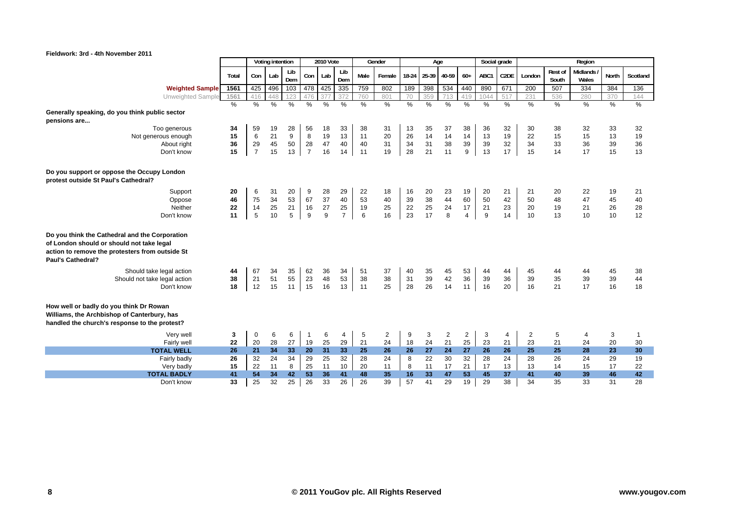

|                                                                                                                                                                            |       |                | Voting intention |            |                | <b>2010 Vote</b> |                |      | Gender         |         | Age   |                         |                | Social grade  |                   |        |                  | Region              |       |          |
|----------------------------------------------------------------------------------------------------------------------------------------------------------------------------|-------|----------------|------------------|------------|----------------|------------------|----------------|------|----------------|---------|-------|-------------------------|----------------|---------------|-------------------|--------|------------------|---------------------|-------|----------|
|                                                                                                                                                                            | Total | Con            | Lab              | Lib<br>Dem | Con            | Lab              | Lib<br>Dem     | Male | Female         | $18-24$ | 25-39 | 40-59                   | $60+$          | ABC1          | C <sub>2</sub> DE | London | Rest of<br>South | Midlands /<br>Wales | North | Scotland |
| <b>Weighted Sample</b>                                                                                                                                                     | 1561  | 425            | 496              | 103        | 478            | 425              | 335            | 759  | 802            | 189     | 398   | 534                     | 440            | 890           | 671               | 200    | 507              | 334                 | 384   | 136      |
| Unweighted Sample                                                                                                                                                          | 1561  | 416            | 448              | 123        | 476            | 377              | 372            | 760  | 801            | 70      | 359   | 713                     | 419            | 1044          | 517               | 231    | 536              | 280                 | 370   | 144      |
|                                                                                                                                                                            | %     | $\%$           | $\%$             | $\%$       | %              | $\%$             | $\%$           | $\%$ | $\%$           | %       | %     | $\%$                    | %              | $\frac{0}{0}$ | %                 | %      | $\%$             | $\%$                | $\%$  | $\%$     |
| Generally speaking, do you think public sector                                                                                                                             |       |                |                  |            |                |                  |                |      |                |         |       |                         |                |               |                   |        |                  |                     |       |          |
| pensions are                                                                                                                                                               |       |                |                  |            |                |                  |                |      |                |         |       |                         |                |               |                   |        |                  |                     |       |          |
| Too generous                                                                                                                                                               | 34    | 59             | 19               | 28         | 56             | 18               | 33             | 38   | 31             | 13      | 35    | 37                      | 38             | 36            | 32                | 30     | 38               | 32                  | 33    | 32       |
| Not generous enough                                                                                                                                                        | 15    | $6\phantom{1}$ | 21               | 9          | 8              | 19               | 13             | 11   | 20             | 26      | 14    | 14                      | 14             | 13            | 19                | 22     | 15               | 15                  | 13    | 19       |
| About right                                                                                                                                                                | 36    | 29             | 45               | 50         | 28             | 47               | 40             | 40   | 31             | 34      | 31    | 38                      | 39             | 39            | 32                | 34     | 33               | 36                  | 39    | 36       |
| Don't know                                                                                                                                                                 | 15    | $\overline{7}$ | 15               | 13         | $\overline{7}$ | 16               | 14             | 11   | 19             | 28      | 21    | 11                      | 9              | 13            | 17                | 15     | 14               | 17                  | 15    | 13       |
| Do you support or oppose the Occupy London<br>protest outside St Paul's Cathedral?                                                                                         |       |                |                  |            |                |                  |                |      |                |         |       |                         |                |               |                   |        |                  |                     |       |          |
| Support                                                                                                                                                                    | 20    | 6              | 31               | 20         | 9              | 28               | 29             | 22   | 18             | 16      | 20    | 23                      | 19             | 20            | 21                | 21     | 20               | 22                  | 19    | 21       |
| Oppose                                                                                                                                                                     | 46    | 75             | 34               | 53         | 67             | 37               | 40             | 53   | 40             | 39      | 38    | 44                      | 60             | 50            | 42                | 50     | 48               | 47                  | 45    | 40       |
| Neither                                                                                                                                                                    | 22    | 14             | 25               | 21         | 16             | 27               | $25\,$         | 19   | 25             | 22      | 25    | 24                      | $17$           | 21            | 23                | 20     | 19               | 21                  | 26    | 28       |
| Don't know                                                                                                                                                                 | 11    | 5              | 10               | 5          | 9              | 9                | $\overline{7}$ | 6    | 16             | 23      | 17    | 8                       | $\overline{4}$ | 9             | 14                | 10     | 13               | 10                  | 10    | 12       |
| Do you think the Cathedral and the Corporation<br>of London should or should not take legal<br>action to remove the protesters from outside St<br><b>Paul's Cathedral?</b> |       |                |                  |            |                |                  |                |      |                |         |       |                         |                |               |                   |        |                  |                     |       |          |
| Should take legal action                                                                                                                                                   | 44    | 67             | 34               | 35         | 62             | 36               | 34             | 51   | 37             | 40      | 35    | 45                      | 53             | 44            | 44                | 45     | 44               | 44                  | 45    | 38       |
| Should not take legal action                                                                                                                                               | 38    | 21             | 51               | 55         | 23             | 48               | 53             | 38   | 38             | 31      | 39    | 42                      | 36             | 39            | 36                | 39     | 35               | 39                  | 39    | 44       |
| Don't know                                                                                                                                                                 | 18    | 12             | 15               | 11         | 15             | 16               | 13             | 11   | 25             | 28      | 26    | 14                      | 11             | 16            | 20                | 16     | 21               | 17                  | 16    | 18       |
| How well or badly do you think Dr Rowan<br>Williams, the Archbishop of Canterbury, has<br>handled the church's response to the protest?                                    |       |                |                  |            |                |                  |                |      |                |         |       |                         |                |               |                   |        |                  |                     |       |          |
| Very well                                                                                                                                                                  | 3     | $\mathbf 0$    | 6                | 6          | -1             | 6                | 4              | 5    | $\overline{2}$ | 9       | 3     | $\overline{\mathbf{c}}$ | $\overline{2}$ | 3             | 4                 | 2      | 5                | 4                   | 3     | -1       |
| Fairly well                                                                                                                                                                | 22    | 20             | 28               | 27         | 19             | 25               | 29             | 21   | 24             | 18      | 24    | 21                      | 25             | 23            | 21                | 23     | 21               | 24                  | 20    | 30       |
| <b>TOTAL WELL</b>                                                                                                                                                          | 26    | 21             | 34               | 33         | 20             | 31               | 33             | 25   | 26             | 26      | 27    | 24                      | 27             | 26            | 26                | 25     | 25               | 28                  | 23    | 30       |
| Fairly badly                                                                                                                                                               | 26    | 32             | 24               | 34         | 29             | 25               | 32             | 28   | 24             | 8       | 22    | $30\,$                  | 32             | 28            | 24                | 28     | 26               | 24                  | 29    | 19       |
| Very badly                                                                                                                                                                 | 15    | 22             | 11               | 8          | 25             | 11               | 10             | 20   | 11             | 8       | 11    | 17                      | 21             | 17            | 13                | 13     | 14               | 15                  | 17    | 22       |
| <b>TOTAL BADLY</b>                                                                                                                                                         | 41    | 54             | 34               | 42         | 53             | 36               | 41             | 48   | 35             | 16      | 33    | 47                      | 53             | 45            | 37                | 41     | 40               | 39                  | 46    | 42       |
| Don't know                                                                                                                                                                 | 33    | 25             | 32               | 25         | 26             | 33               | 26             | 26   | 39             | 57      | 41    | 29                      | 19             | 29            | 38                | 34     | 35               | 33                  | 31    | 28       |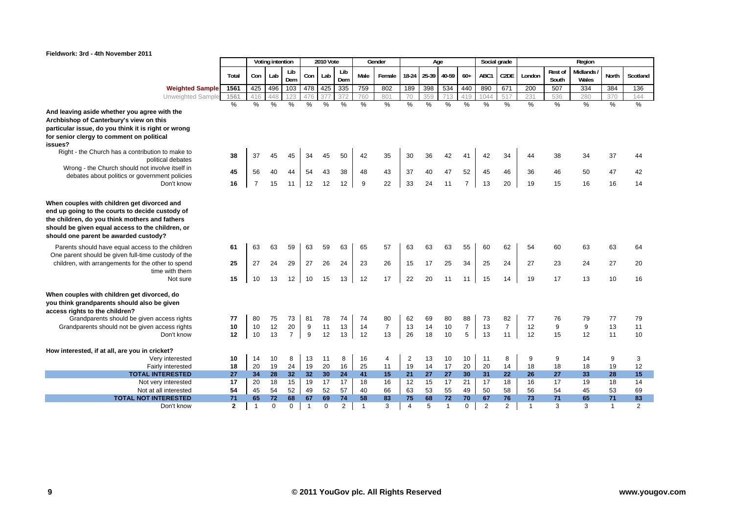

|                                                                                                                                                                                                                                               |                |                | Voting intention |                |                | <b>2010 Vote</b> |               |                | Gender         |       | Age   |               |                |               | Social grade      |                |                         | Region            |                |               |
|-----------------------------------------------------------------------------------------------------------------------------------------------------------------------------------------------------------------------------------------------|----------------|----------------|------------------|----------------|----------------|------------------|---------------|----------------|----------------|-------|-------|---------------|----------------|---------------|-------------------|----------------|-------------------------|-------------------|----------------|---------------|
|                                                                                                                                                                                                                                               | Total          | Con            | Lab              | Lib<br>Dem     | Con            | Lab              | Lib<br>Dem    | Male           | Female         | 18-24 | 25-39 | 40-59         | $60+$          | ABC1          | C <sub>2</sub> DE | London         | <b>Rest of</b><br>South | Midlands<br>Wales | <b>North</b>   | Scotland      |
| <b>Weighted Sample</b>                                                                                                                                                                                                                        | 1561           | 425            | 496              | 103            | 478            | 425              | 335           | 759            | 802            | 189   | 398   | 534           | 440            | 890           | 671               | 200            | 507                     | 334               | 384            | 136           |
| Unweighted Sample                                                                                                                                                                                                                             | 1561           | 416            | 448              | 123            | 476            |                  | 372           | 760            | 801            | 70    | 359   |               | 419            | 1044          | 517               | 231            | 536                     | 280               | 370            | 144           |
|                                                                                                                                                                                                                                               | $\%$           | $\%$           | $\frac{0}{0}$    | $\%$           | $\%$           | $\frac{9}{6}$    | $\frac{1}{2}$ | $\%$           | $\%$           | $\%$  | $\%$  | $\frac{0}{0}$ | $\frac{0}{0}$  | $\frac{0}{0}$ | $\frac{9}{6}$     | $\frac{9}{6}$  | $\frac{0}{0}$           | $\frac{9}{6}$     | $\%$           | $\frac{9}{6}$ |
| And leaving aside whether you agree with the                                                                                                                                                                                                  |                |                |                  |                |                |                  |               |                |                |       |       |               |                |               |                   |                |                         |                   |                |               |
| Archbishop of Canterbury's view on this                                                                                                                                                                                                       |                |                |                  |                |                |                  |               |                |                |       |       |               |                |               |                   |                |                         |                   |                |               |
| particular issue, do you think it is right or wrong                                                                                                                                                                                           |                |                |                  |                |                |                  |               |                |                |       |       |               |                |               |                   |                |                         |                   |                |               |
| for senior clergy to comment on political                                                                                                                                                                                                     |                |                |                  |                |                |                  |               |                |                |       |       |               |                |               |                   |                |                         |                   |                |               |
| issues?                                                                                                                                                                                                                                       |                |                |                  |                |                |                  |               |                |                |       |       |               |                |               |                   |                |                         |                   |                |               |
| Right - the Church has a contribution to make to                                                                                                                                                                                              | 38             | 37             | 45               | 45             | 34             | 45               | 50            | 42             | 35             | 30    | 36    | 42            | 41             | 42            | 34                | 44             | 38                      | 34                | 37             | 44            |
| political debates                                                                                                                                                                                                                             |                |                |                  |                |                |                  |               |                |                |       |       |               |                |               |                   |                |                         |                   |                |               |
| Wrong - the Church should not involve itself in                                                                                                                                                                                               | 45             | 56             | 40               | 44             | 54             | 43               | 38            | 48             | 43             | 37    | 40    | 47            | 52             | 45            | 46                | 36             | 46                      | 50                | 47             | 42            |
| debates about politics or government policies                                                                                                                                                                                                 |                |                |                  |                |                |                  |               |                |                |       |       |               |                |               |                   |                |                         |                   |                |               |
| Don't know                                                                                                                                                                                                                                    | 16             | $\overline{7}$ | 15               | 11             | 12             | 12               | 12            | 9              | 22             | 33    | 24    | 11            | $\overline{7}$ | 13            | 20                | 19             | 15                      | 16                | 16             | 14            |
| When couples with children get divorced and<br>end up going to the courts to decide custody of<br>the children, do you think mothers and fathers<br>should be given equal access to the children, or<br>should one parent be awarded custody? |                |                |                  |                |                |                  |               |                |                |       |       |               |                |               |                   |                |                         |                   |                |               |
| Parents should have equal access to the children                                                                                                                                                                                              | 61             | 63             | 63               | 59             | 63             | 59               | 63            | 65             | 57             | 63    | 63    | 63            | 55             | 60            | 62                | 54             | 60                      | 63                | 63             | 64            |
| One parent should be given full-time custody of the                                                                                                                                                                                           |                |                |                  |                |                |                  |               |                |                |       |       |               |                |               |                   |                |                         |                   |                |               |
| children, with arrangements for the other to spend                                                                                                                                                                                            | 25             | 27             | 24               | 29             | 27             | 26               | 24            | 23             | 26             | 15    | 17    | 25            | 34             | 25            | 24                | 27             | 23                      | 24                | 27             | 20            |
| time with them                                                                                                                                                                                                                                |                |                |                  |                |                |                  |               |                |                |       |       |               |                |               |                   |                |                         |                   |                |               |
| Not sure                                                                                                                                                                                                                                      | 15             | 10             | 13               | 12             | 10             | 15               | 13            | 12             | 17             | 22    | 20    | 11            | 11             | 15            | 14                | 19             | 17                      | 13                | 10             | 16            |
| When couples with children get divorced, do<br>you think grandparents should also be given<br>access rights to the children?                                                                                                                  |                |                |                  |                |                |                  |               |                |                |       |       |               |                |               |                   |                |                         |                   |                |               |
| Grandparents should be given access rights                                                                                                                                                                                                    | 77             | 80             | 75               | 73             | 81             | 78               | 74            | 74             | 80             | 62    | 69    | 80            | 88             | 73            | 82                | 77             | 76                      | 79                | 77             | 79            |
| Grandparents should not be given access rights                                                                                                                                                                                                | 10             | 10             | 12               | 20             | 9              | 11               | 13            | 14             | $\overline{7}$ | 13    | 14    | 10            | $\overline{7}$ | 13            | $\overline{7}$    | 12             | 9                       | 9                 | 13             | 11            |
| Don't know                                                                                                                                                                                                                                    | 12             | 10             | 13               | $\overline{7}$ | 9              | 12               | 13            | 12             | 13             | 26    | 18    | 10            | 5              | 13            | 11                | 12             | 15                      | 12                | 11             | 10            |
| How interested, if at all, are you in cricket?                                                                                                                                                                                                |                |                |                  |                |                |                  |               |                |                |       |       |               |                |               |                   |                |                         |                   |                |               |
| Very interested                                                                                                                                                                                                                               | 10             | 14             | 10               | 8              | 13             | 11               | 8             | 16             | 4              | 2     | 13    | 10            | 10             | 11            | 8                 | 9              | 9                       | 14                | 9              | 3             |
| Fairly interested                                                                                                                                                                                                                             | 18             | 20             | 19               | 24             | 19             | 20               | 16            | 25             | 11             | 19    | 14    | 17            | 20             | 20            | 14                | 18             | 18                      | 18                | 19             | 12            |
| <b>TOTAL INTERESTED</b>                                                                                                                                                                                                                       | 27             | 34             | 28               | 32             | 32             | 30               | 24            | 41             | 15             | 21    | 27    | 27            | 30             | 31            | 22                | 26             | 27                      | 33                | 28             | 15            |
| Not very interested                                                                                                                                                                                                                           | 17             | 20             | 18               | 15             | 19             | 17               | 17            | 18             | 16             | 12    | 15    | 17            | 21             | 17            | 18                | 16             | 17                      | 19                | 18             | 14            |
| Not at all interested                                                                                                                                                                                                                         | 54             | 45             | 54               | 52             | 49             | 52               | 57            | 40             | 66             | 63    | 53    | 55            | 49             | 50            | 58                | 56             | 54                      | 45                | 53             | 69            |
| <b>TOTAL NOT INTERESTED</b>                                                                                                                                                                                                                   | 71             | 65             | 72               | 68             | 67             | 69               | 74            | 58             | 83             | 75    | 68    | 72            | 70             | 67            | 76                | 73             | 71                      | 65                | 71             | 83            |
| Don't know                                                                                                                                                                                                                                    | $\overline{2}$ | $\overline{1}$ | $\Omega$         | $\mathbf 0$    | $\overline{1}$ | $\Omega$         | 2             | $\overline{1}$ | 3              | 4     | 5     | -1            | $\Omega$       | 2             | $\overline{2}$    | $\overline{1}$ | 3                       | 3                 | $\overline{1}$ | 2             |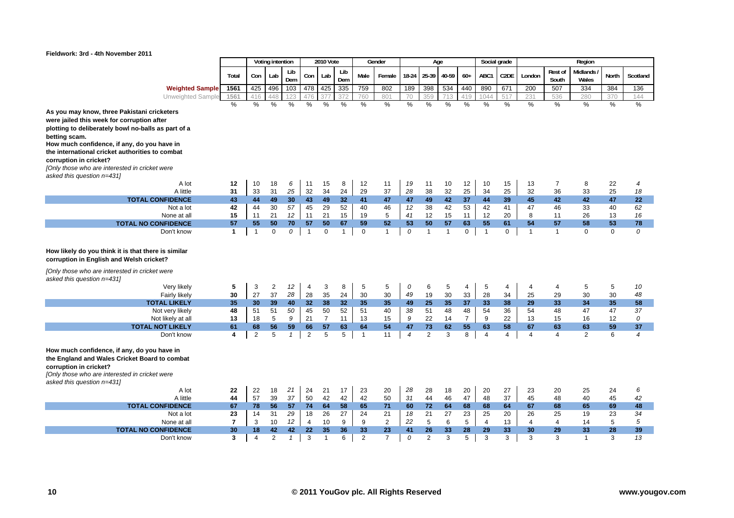

|                                                                                                                                                                                                                                                                                                                                                                                        |                    |                    | Voting intention  |              |                               | <b>2010 Vote</b>     |                    |                   | Gender             |                |                    | Age                  |                      |                    | Social grade      |                    |                         | Region            |                   |                    |
|----------------------------------------------------------------------------------------------------------------------------------------------------------------------------------------------------------------------------------------------------------------------------------------------------------------------------------------------------------------------------------------|--------------------|--------------------|-------------------|--------------|-------------------------------|----------------------|--------------------|-------------------|--------------------|----------------|--------------------|----------------------|----------------------|--------------------|-------------------|--------------------|-------------------------|-------------------|-------------------|--------------------|
|                                                                                                                                                                                                                                                                                                                                                                                        | Total              | Con                | Lab               | Lib<br>Dem   | Con                           | Lab                  | Lib<br>Dem         | Male              | Female             | 18-24          | 25-39              | 40-59                | $60+$                | ABC1               | C2DE              | London             | <b>Rest of</b><br>South | Midlands<br>Wales | North             | Scotland           |
| <b>Weighted Sample</b>                                                                                                                                                                                                                                                                                                                                                                 | 1561               | 425                | 496               | 103          | 478                           | 425                  | 335                | 759               | 802                | 189            | 398                | 534                  | 440                  | 890                | 671               | 200                | 507                     | 334               | 384               | 136                |
| Unweighted Sample                                                                                                                                                                                                                                                                                                                                                                      | 1561               | 416                | 448               | 123          | 476                           | 377                  | 372                | 760               | 801                | 70             | 359                | 713                  | 419                  | 1044               | 517               | 231                | 536                     | 280               | 370               | 144                |
| As you may know, three Pakistani cricketers<br>were jailed this week for corruption after<br>plotting to deliberately bowl no-balls as part of a<br>betting scam.<br>How much confidence, if any, do you have in<br>the international cricket authorities to combat<br>corruption in cricket?<br>[Only those who are interested in cricket were<br>asked this question n=431)<br>A lot | %<br>12            | $\%$<br>10         | %<br>18           | %<br>6       | %<br>11                       | %<br>15              | %<br>8             | %<br>12           | %<br>11            | $\%$<br>19     | %<br>11            | %<br>10              | %<br>12              | %<br>10            | $\%$<br>15        | %<br>13            | %<br>$\overline{7}$     | %<br>8            | %<br>22           | $\frac{0}{0}$<br>4 |
| A little                                                                                                                                                                                                                                                                                                                                                                               | 31                 | 33                 | 31                | 25           | 32                            | 34                   | 24                 | 29                | 37                 | 28             | 38                 | 32                   | 25                   | 34                 | 25                | 32                 | 36                      | 33                | 25                | 18                 |
| <b>TOTAL CONFIDENCE</b>                                                                                                                                                                                                                                                                                                                                                                | 43                 | 44                 | 49                | 30           | 43                            | 49                   | 32                 | 41                | 47                 | 47             | 49                 | 42                   | 37                   | 44                 | 39                | 45                 | 42                      | 42                | 47                | 22                 |
| Not a lot                                                                                                                                                                                                                                                                                                                                                                              | 42                 | 44                 | 30                | 57           | 45                            | 29                   | 52                 | 40                | 46                 | 12             | 38                 | 42                   | 53                   | 42                 | 41                | 47                 | 46                      | 33                | 40                | 62                 |
| None at all                                                                                                                                                                                                                                                                                                                                                                            | 15                 | 11                 | 21                | 12           | 11                            | 21                   | 15                 | 19                | 5                  | 41             | 12                 | 15                   | 11                   | 12                 | 20                | 8                  | 11                      | 26                | 13                | 16                 |
| <b>TOTAL NO CONFIDENCE</b><br>Don't know                                                                                                                                                                                                                                                                                                                                               | 57<br>$\mathbf{1}$ | 55<br>$\mathbf{1}$ | 50<br>$\mathbf 0$ | 70<br>0      | 57<br>$\overline{\mathbf{1}}$ | 50<br>$\mathbf 0$    | 67<br>$\mathbf{1}$ | 59<br>$\mathbf 0$ | 52<br>$\mathbf{1}$ | 53<br>0        | 50<br>$\mathbf{1}$ | 57<br>$\overline{1}$ | 63<br>$\mathbf 0$    | 55<br>$\mathbf{1}$ | 61<br>$\mathbf 0$ | 54<br>$\mathbf{1}$ | 57<br>$\overline{1}$    | 58<br>$\mathbf 0$ | 53<br>$\mathbf 0$ | 78<br>0            |
| How likely do you think it is that there is similar<br>corruption in English and Welsh cricket?<br>[Only those who are interested in cricket were<br>asked this question n=431)                                                                                                                                                                                                        |                    |                    |                   |              |                               |                      |                    |                   |                    |                |                    |                      |                      |                    |                   |                    |                         |                   |                   |                    |
| Very likely                                                                                                                                                                                                                                                                                                                                                                            | 5                  | 3                  | 2                 | 12           | $\overline{4}$                | 3                    | 8                  | 5                 | 5                  | 0              | 6                  | 5                    | 4                    | 5                  | 4                 | 4                  | 4                       | 5                 | 5                 | 10                 |
| Fairly likely                                                                                                                                                                                                                                                                                                                                                                          | 30                 | 27                 | 37                | 28           | 28                            | 35                   | 24                 | 30                | 30                 | 49             | 19                 | 30                   | 33                   | 28                 | 34                | 25                 | 29                      | 30                | 30                | 48                 |
| <b>TOTAL LIKELY</b>                                                                                                                                                                                                                                                                                                                                                                    | 35                 | 30                 | 39                | 40           | 32                            | 38                   | 32                 | 35                | 35                 | 49             | 25                 | 35                   | 37                   | 33                 | 38                | 29                 | 33                      | 34                | 35                | 58                 |
| Not very likely                                                                                                                                                                                                                                                                                                                                                                        | 48                 | 51                 | 51<br>5           | 50<br>9      | 45                            | 50                   | 52                 | 51                | 40                 | 38             | 51                 | 48                   | 48<br>$\overline{7}$ | 54                 | 36<br>22          | 54                 | 48                      | 47                | 47                | 37<br>0            |
| Not likely at all<br><b>TOTAL NOT LIKELY</b>                                                                                                                                                                                                                                                                                                                                           | 13<br>61           | 18<br>68           | 56                | 59           | 21<br>66                      | $\overline{7}$<br>57 | 11<br>63           | 13<br>64          | 15<br>54           | 9<br>47        | 22<br>73           | 14<br>62             | 55                   | 9<br>63            | 58                | 13<br>67           | 15<br>63                | 16<br>63          | 12<br>59          | 37                 |
| Don't know                                                                                                                                                                                                                                                                                                                                                                             | 4                  | $\overline{2}$     | 5                 | $\mathbf{1}$ | $\overline{2}$                | 5                    | 5                  | $\mathbf 1$       | 11                 | $\overline{4}$ | $\overline{2}$     | 3                    | 8                    | $\overline{4}$     | $\overline{4}$    | $\overline{4}$     | 4                       | 2                 | 6                 | $\overline{4}$     |
| How much confidence, if any, do you have in<br>the England and Wales Cricket Board to combat<br>corruption in cricket?<br>[Only those who are interested in cricket were<br>asked this question n=431)                                                                                                                                                                                 |                    |                    |                   |              |                               |                      |                    |                   |                    |                |                    |                      |                      |                    |                   |                    |                         |                   |                   |                    |
| A lot<br>A little                                                                                                                                                                                                                                                                                                                                                                      | 22<br>44           | 22                 | 18                | 21<br>37     | 24                            | 21                   | 17                 | 23                | 20                 | 28             | 28                 | 18                   | 20                   | 20                 | 27                | 23                 | 20                      | 25<br>40          | 24                | 6<br>42            |
| <b>TOTAL CONFIDENCE</b>                                                                                                                                                                                                                                                                                                                                                                | 67                 | 57<br>78           | 39<br>56          | 57           | 50<br>74                      | 42<br>64             | 42<br>58           | 42<br>65          | 50<br>71           | 31<br>60       | 44<br>72           | 46<br>64             | 47<br>68             | 48<br>68           | 37<br>64          | 45<br>67           | 48<br>68                | 65                | 45<br>69          | 48                 |
| Not a lot                                                                                                                                                                                                                                                                                                                                                                              | 23                 | 14                 | 31                | 29           | 18                            | 26                   | 27                 | 24                | 21                 | 18             | 21                 | 27                   | 23                   | 25                 | 20                | 26                 | 25                      | 19                | 23                | 34                 |
| None at all                                                                                                                                                                                                                                                                                                                                                                            | $\overline{7}$     | 3                  | 10                | 12           | $\overline{4}$                | 10                   | 9                  | 9                 | $\overline{2}$     | 22             | 5                  | 6                    | 5                    | $\overline{4}$     | 13                | $\overline{4}$     | $\overline{4}$          | 14                | 5                 | 5                  |
| <b>TOTAL NO CONFIDENCE</b>                                                                                                                                                                                                                                                                                                                                                             | 30                 | 18                 | 42                | 42           | 22                            | 35                   | 36                 | 33                | 23                 | 41             | 26                 | 33                   | 28                   | 29                 | 33                | 30                 | 29                      | 33                | 28                | 39                 |
| Don't know                                                                                                                                                                                                                                                                                                                                                                             | 3                  | $\overline{4}$     | 2                 | $\mathbf{1}$ | 3                             | $\overline{1}$       | 6                  | $\overline{2}$    | $\overline{7}$     | 0              | 2                  | 3                    | 5                    | 3                  | 3                 | 3                  | 3                       | $\mathbf{1}$      | 3                 | 13                 |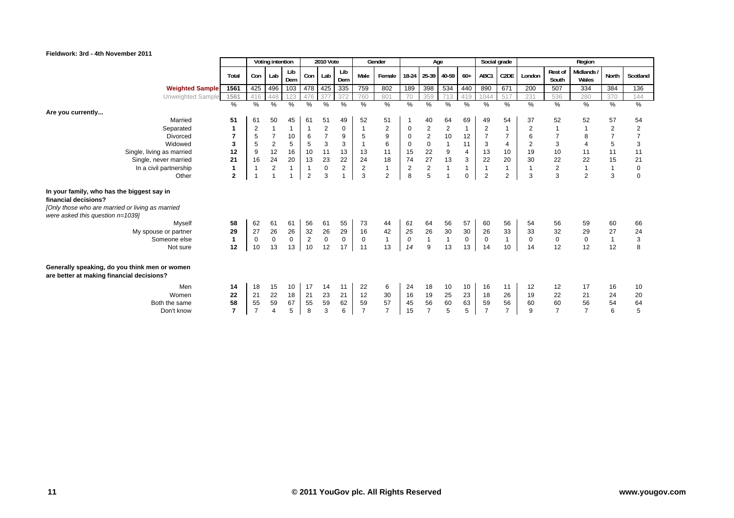

|                                                                                                                                                             |                |                | Voting intention |                |                | 2010 Vote               |                      |                | Gender           |                                        | Age                                    |                |                   | Social grade         |                   |                |                           | Region                   |                |                           |
|-------------------------------------------------------------------------------------------------------------------------------------------------------------|----------------|----------------|------------------|----------------|----------------|-------------------------|----------------------|----------------|------------------|----------------------------------------|----------------------------------------|----------------|-------------------|----------------------|-------------------|----------------|---------------------------|--------------------------|----------------|---------------------------|
|                                                                                                                                                             | Total          | Con            | Lab              | Lib<br>Dem     | Con            | Lab                     | Lib<br>Dem           | Male           | Female           | 18-24                                  | 25-39 40-59                            |                | $60+$             | ABC1                 | C <sub>2</sub> DE | London         | Rest of<br>South          | <b>Midlands</b><br>Wales | North          | Scotland                  |
| <b>Weighted Sample</b>                                                                                                                                      | 1561           | 425            | 496              | 103            | 478 425        |                         | 335                  | 759            | 802              | 189                                    | 398                                    | 534            | 440               | 890                  | 671               | 200            | 507                       | 334                      | 384            | 136                       |
| Unweighted Sample                                                                                                                                           | 1561           | 416            | 448              | 123            | 476            | 37                      | 372                  | 760            | 801              | 70                                     | 359                                    |                | 419               | 1044                 | 517               | 231            | 536                       | 280                      | 370            | 144                       |
| Are you currently                                                                                                                                           | $\%$           | %              | $\%$             | %              | %              | $\%$                    | %                    | %              | $\%$             | $\%$                                   | %                                      | $\%$           | $\%$              | %                    | %                 | $\%$           | %                         | %                        | %              | $\%$                      |
| Married                                                                                                                                                     | 51             | 61             | 50               | 45             | 61             | 51                      | 49                   | 52             | 51               |                                        | 40                                     | 64             | 69                | 49                   | 54                | 37             | 52                        | 52                       | 57             | 54                        |
| Separated                                                                                                                                                   | 1              | $\overline{c}$ | $\mathbf{1}$     |                |                | $\overline{\mathbf{c}}$ | 0                    |                | 2                | 0                                      | $\overline{\mathbf{c}}$                | $\overline{2}$ | $\mathbf{1}$      | $\sqrt{2}$           | 1                 | $\overline{2}$ |                           |                          | $\sqrt{2}$     | $\sqrt{2}$                |
| <b>Divorced</b>                                                                                                                                             | $\overline{7}$ | 5              | $\overline{7}$   | 10             | 6              | $\overline{7}$          | $\overline{9}$       | 5              | $\boldsymbol{9}$ | $\mathbf 0$                            | $\mathbf 2$                            | 10             | 12                | $\overline{7}$       | $\overline{7}$    | $\,6$          |                           | 8                        | $\overline{7}$ | $\overline{7}$            |
| Widowed                                                                                                                                                     | 3              | 5              | $\sqrt{2}$       | 5              | 5              | 3                       | 3                    | $\overline{1}$ | 6                | $\mathbf 0$                            | $\pmb{0}$                              |                | 11                | 3                    | $\overline{4}$    | $\overline{2}$ | $\ensuremath{\mathsf{3}}$ | $\overline{4}$           | $\,$ 5 $\,$    | $\ensuremath{\mathsf{3}}$ |
| Single, living as married                                                                                                                                   | 12             | 9              | 12               | 16             | 10             | 11                      | 13                   | 13             | 11               | 15                                     | $\frac{22}{27}$                        | 9              | $\overline{4}$    | 13                   | 10<br>20          | 19             | 10                        | 11                       | 11             | 11                        |
| Single, never married                                                                                                                                       | 21             | 16             | 24               | 20             | 13             | 23                      | 22<br>$\overline{c}$ | 24             | 18               | 74                                     |                                        | 13             | 3<br>$\mathbf{1}$ | 22<br>$\overline{1}$ | $\mathbf{1}$      | 30             | 22                        | 22                       | 15             | 21                        |
| In a civil partnership                                                                                                                                      | $\mathbf{1}$   |                | $\overline{2}$   | $\mathbf{1}$   |                | $\mathbf 0$             |                      | $\overline{2}$ | $\mathbf{1}$     | $\mathbf 2$                            | $\mathbf 2$<br>5                       |                |                   |                      |                   | $\mathbf{1}$   | $\sqrt{2}$                |                          | $\mathbf{1}$   | $\mathsf{O}\xspace$       |
| Other                                                                                                                                                       | $\mathbf{2}$   |                |                  |                | $\overline{2}$ | 3                       |                      | 3              | 2                | 8                                      |                                        |                | $\mathbf 0$       | $\overline{2}$       | $\overline{2}$    | 3              | 3                         | $\overline{2}$           | 3              | $\mathbf 0$               |
| In your family, who has the biggest say in<br>financial decisions?<br>[Only those who are married or living as married<br>were asked this question $n=1039$ |                |                |                  |                |                |                         |                      |                |                  |                                        |                                        |                |                   |                      |                   |                |                           |                          |                |                           |
| Myself                                                                                                                                                      | 58             | 62             | 61               | 61             | 56             | 61                      | 55                   | 73             | 44               | 61                                     | 64                                     | 56             | 57                | 60                   | 56                | 54             | 56                        | 59                       | 60             | 66                        |
| My spouse or partner                                                                                                                                        | 29             | 27             | 26               | 26             | 32             | ${\bf 26}$              | 29                   | 16             | 42               | $\begin{array}{c} 25 \\ 0 \end{array}$ | $\begin{array}{c} 26 \\ 1 \end{array}$ | $30\,$         | 30                | 26                   | 33                | 33             | 32                        | 29                       | 27             | 24                        |
| Someone else                                                                                                                                                | $\mathbf{1}$   | $\mathbf 0$    | $\mathsf 0$      | $\mathbf 0$    | $\sqrt{2}$     | $\mathbf 0$             | $\mathbf 0$          | $\mathbf{0}$   | $\mathbf{1}$     |                                        |                                        | $\mathbf{1}$   | $\mathbf 0$       | $\mathbf 0$          | $\mathbf{1}$      | $\mathbf 0$    | $\mathsf{O}\xspace$       | $\mathbf 0$              | $\mathbf{1}$   | 3                         |
| Not sure                                                                                                                                                    | 12             | 10             | 13               | 13             | 10             | 12                      | 17                   | 11             | 13               | 14                                     | 9                                      | 13             | 13                | 14                   | 10                | 14             | 12                        | 12                       | 12             | 8                         |
| Generally speaking, do you think men or women<br>are better at making financial decisions?                                                                  |                |                |                  |                |                |                         |                      |                |                  |                                        |                                        |                |                   |                      |                   |                |                           |                          |                |                           |
| Men<br>Women<br>Both the same                                                                                                                               | 14<br>22<br>58 | 18<br>21<br>55 | 15<br>22<br>59   | 10<br>18<br>67 | 17<br>21<br>55 | 14<br>23<br>59          | 11<br>21<br>62       | 22<br>12<br>59 | 6<br>30<br>57    | 24<br>16<br>45                         | 18<br>19<br>56                         | 10<br>25<br>60 | 10<br>23<br>63    | 16<br>18<br>59       | 11<br>26<br>56    | 12<br>19<br>60 | 12<br>22<br>60            | 17<br>21<br>56           | 16<br>24<br>54 | 10<br>20<br>64            |
| Don't know                                                                                                                                                  | $\overline{7}$ | $\overline{7}$ | $\overline{4}$   | 5              | 8              | 3                       | 6                    | $\overline{7}$ | $\overline{7}$   | 15                                     | $\overline{7}$                         | 5              | 5                 | $\overline{7}$       | $\overline{7}$    | 9              | $\overline{7}$            | $\overline{7}$           | 6              | 5                         |